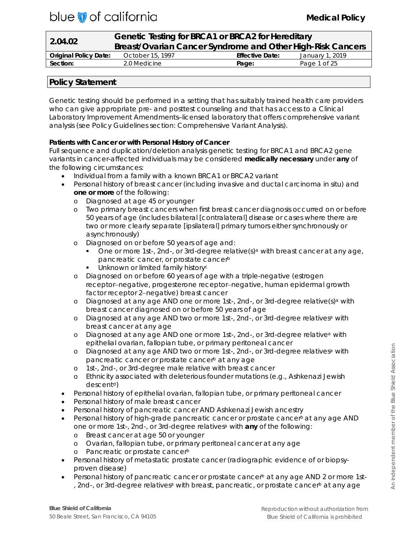# blue of california

| 2.04.02                      |                                                            | Genetic Testing for BRCA1 or BRCA2 for Hereditary |                 |  |
|------------------------------|------------------------------------------------------------|---------------------------------------------------|-----------------|--|
|                              | Breast/Ovarian Cancer Syndrome and Other High-Risk Cancers |                                                   |                 |  |
| <b>Original Policy Date:</b> | October 15, 1997                                           | <b>Effective Date:</b>                            | January 1, 2019 |  |
| Section:                     | 2.0 Medicine                                               | Page:                                             | Page 1 of 25    |  |

# **Policy Statement**

Genetic testing should be performed in a setting that has suitably trained health care providers who can give appropriate pre- and posttest counseling and that has access to a Clinical Laboratory Improvement Amendments–licensed laboratory that offers comprehensive variant analysis (see Policy Guidelines section: Comprehensive Variant Analysis).

# **Patients with Cancer or with Personal History of Cancer**

Full sequence and duplication/deletion analysis genetic testing for *BRCA1* and *BRCA2* gene variants in cancer-affected individuals may be considered **medically necessary** under **any** of the following circumstances:

- Individual from a family with a known *BRCA1 or BRCA2* variant
- Personal history of breast cancer (including invasive and ductal carcinoma in situ) and **one or more** of the following:
	- o Diagnosed at age 45 or younger
	- o Two primary breast cancers when first breast cancer diagnosis occurred on or before 50 years of age (includes bilateral [contralateral] disease or cases where there are two or more clearly separate [ipsilateral] primary tumors either synchronously or asynchronously)
	- o Diagnosed on or before 50 years of age and:
		- One or more 1st-, 2nd-, or 3rd-degree relative $(s)^a$  with breast cancer at any age, pancreatic cancer, or prostate cancerb
		- **Unknown or limited family historycly**
	- o Diagnosed on or before 60 years of age with a triple-negative (estrogen receptor−negative, progesterone receptor−negative, human epidermal growth factor receptor 2−negative) breast cancer
	- o Diagnosed at any age AND one or more 1st-, 2nd-, or 3rd-degree relative(s)<sup>a</sup> with breast cancer diagnosed on or before 50 years of age
	- o Diagnosed at any age AND two or more 1st-, 2nd-, or 3rd-degree relativesa with breast cancer at any age
	- o Diagnosed at any age AND one or more 1st-, 2nd-, or 3rd-degree relativea with epithelial ovarian, fallopian tube, or primary peritoneal cancer
	- o Diagnosed at any age AND two or more 1st-, 2nd-, or 3rd-degree relativesa with pancreatic cancer or prostate cancer<sup>b</sup> at any age
	- o 1st-, 2nd-, or 3rd-degree male relative with breast cancer
	- o Ethnicity associated with deleterious founder mutations (e.g., Ashkenazi Jewish descent<sup>d</sup>)
- Personal history of epithelial ovarian, fallopian tube, or primary peritoneal cancer
- Personal history of male breast cancer
- Personal history of pancreatic cancer AND Ashkenazi Jewish ancestry
- Personal history of high-grade pancreatic cancer or prostate cancer<sup>b</sup> at any age AND one or more 1st-, 2nd-, or 3rd-degree relativesa with **any** of the following:
	- o Breast cancer at age 50 or younger
	- o Ovarian, fallopian tube, or primary peritoneal cancer at any age
	- o Pancreatic or prostate cancerb
- Personal history of metastatic prostate cancer (radiographic evidence of or biopsyproven disease)
- Personal history of pancreatic cancer or prostate cancer<sup>b</sup> at any age AND 2 or more 1st-, 2nd-, or 3rd-degree relatives<sup>a</sup> with breast, pancreatic, or prostate cancer<sup>b</sup> at any age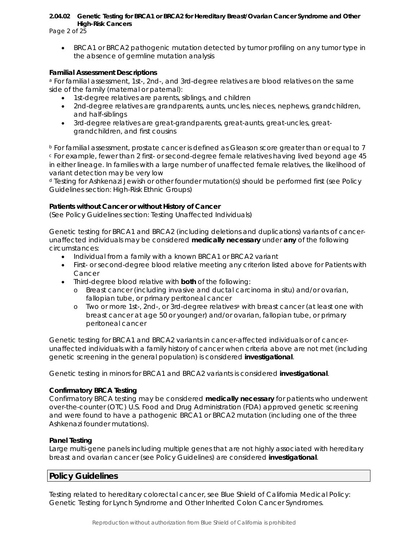Page 2 of 25

• *BRCA1 or BRCA2* pathogenic mutation detected by tumor profiling on any tumor type in the absence of germline mutation analysis

#### **Familial Assessment Descriptions**

<sup>a</sup> For familial assessment, 1st-, 2nd-, and 3rd-degree relatives are blood relatives on the same side of the family (maternal or paternal):

- 1st-degree relatives are parents, siblings, and children
- 2nd-degree relatives are grandparents, aunts, uncles, nieces, nephews, grandchildren, and half-siblings
- 3rd-degree relatives are great-grandparents, great-aunts, great-uncles, greatgrandchildren, and first cousins

<sup>b</sup> For familial assessment, prostate cancer is defined as Gleason score greater than or equal to 7 <sup>c</sup> For example, fewer than 2 first- or second-degree female relatives having lived beyond age 45 in either lineage. In families with a large number of unaffected female relatives, the likelihood of variant detection may be very low

<sup>d</sup> Testing for Ashkenazi Jewish or other founder mutation(s) should be performed first (see Policy Guidelines section: High-Risk Ethnic Groups)

#### **Patients without Cancer or without History of Cancer**

(See Policy Guidelines section: Testing Unaffected Individuals)

Genetic testing for *BRCA1* and *BRCA2* (including deletions and duplications) variants of cancerunaffected individuals may be considered **medically necessary** under **any** of the following circumstances:

- Individual from a family with a known *BRCA1* or *BRCA2* variant
- First- or second-degree blood relative meeting any criterion listed above for Patients with Cancer
- Third-degree blood relative with **both** of the following:
	- o Breast cancer (including invasive and ductal carcinoma in situ) and/or ovarian, fallopian tube, or primary peritoneal cancer
	- o Two or more 1st-, 2nd-, or 3rd-degree relativesa with breast cancer (at least one with breast cancer at age 50 or younger) and/or ovarian, fallopian tube, or primary peritoneal cancer

Genetic testing for *BRCA*1 and *BRCA2* variants in cancer-affected individuals or of cancerunaffected individuals with a family history of cancer when criteria above are not met (including genetic screening in the general population) is considered **investigational**.

Genetic testing in minors for *BRCA1* and *BRCA2* variants is considered **investigational**.

#### **Confirmatory BRCA Testing**

Confirmatory BRCA testing may be considered **medically necessary** for patients who underwent over-the-counter (OTC) U.S. Food and Drug Administration (FDA) approved genetic screening and were found to have a pathogenic *BRCA1* or *BRCA2* mutation (including one of the three Ashkenazi founder mutations).

#### **Panel Testing**

Large multi-gene panels including multiple genes that are not highly associated with hereditary breast and ovarian cancer (see Policy Guidelines) are considered **investigational**.

# **Policy Guidelines**

Testing related to hereditary colorectal cancer, see Blue Shield of California Medical Policy: Genetic Testing for Lynch Syndrome and Other Inherited Colon Cancer Syndromes.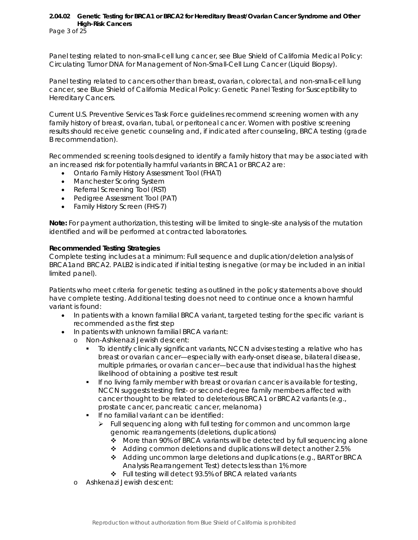Page 3 of 25

Panel testing related to non-small-cell lung cancer, see Blue Shield of California Medical Policy: Circulating Tumor DNA for Management of Non-Small-Cell Lung Cancer (Liquid Biopsy).

Panel testing related to cancers other than breast, ovarian, colorectal, and non-small-cell lung cancer, see Blue Shield of California Medical Policy: Genetic Panel Testing for Susceptibility to Hereditary Cancers.

Current U.S. Preventive Services Task Force guidelines recommend screening women with any family history of breast, ovarian, tubal, or peritoneal cancer. Women with positive screening results should receive genetic counseling and, if indicated after counseling, *BRCA* testing (grade B recommendation).

Recommended screening tools designed to identify a family history that may be associated with an increased risk for potentially harmful variants in *BRCA1* or *BRCA2* are:

- Ontario Family History Assessment Tool (FHAT)
- Manchester Scoring System
- Referral Screening Tool (RST)
- Pedigree Assessment Tool (PAT)
- Family History Screen (FHS-7)

**Note:** For payment authorization, this testing will be limited to single-site analysis of the mutation identified and will be performed at contracted laboratories.

#### **Recommended Testing Strategies**

Complete testing includes at a minimum: Full sequence and duplication/deletion analysis of *BRCA1*and *BRCA2.* PALB2 is indicated if initial testing is negative (or may be included in an initial limited panel).

Patients who meet criteria for genetic testing as outlined in the policy statements above should have complete testing. Additional testing does not need to continue once a known harmful variant is found:

- In patients with a known familial *BRCA* variant, targeted testing for the specific variant is recommended as the first step
- In patients with unknown familial *BRCA* variant:
	- o Non-Ashkenazi Jewish descent:
		- To identify clinically significant variants, NCCN advises testing a relative who has breast or ovarian cancer—especially with early-onset disease, bilateral disease, multiple primaries, or ovarian cancer—because that individual has the highest likelihood of obtaining a positive test result
		- **If no living family member with breast or ovarian cancer is available for testing,** NCCN suggests testing first- or second-degree family members affected with cancer thought to be related to deleterious *BRCA1* or *BRCA2* variants (e.g., prostate cancer, pancreatic cancer, melanoma)
		- **If no familial variant can be identified:** 
			- Full sequencing along with full testing for *common and uncommon* large genomic rearrangements (deletions, duplications)
				- More than 90% of *BRCA* variants will be detected by full sequencing alone
				- Adding common deletions and duplications will detect another 2.5%
				- $\triangle$  Adding uncommon large deletions and duplications (e.g., BART or BRCA Analysis Rearrangement Test) detects less than 1% more
				- ❖ Full testing will detect 93.5% of BRCA related variants
	- o Ashkenazi Jewish descent: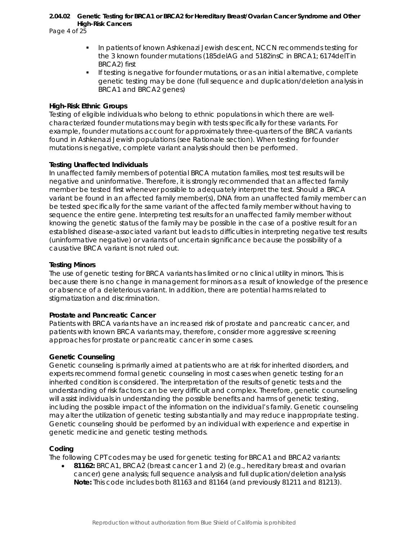Page 4 of 25

- **In patients of known Ashkenazi Jewish descent, NCCN recommends testing for** the 3 known founder mutations (185delAG and 5182insC in *BRCA1*; 6174delT in *BRCA2*) first
- **If testing is negative for founder mutations, or as an initial alternative, complete** genetic testing may be done (full sequence and duplication/deletion analysis in *BRCA1* and *BRCA2* genes)

#### **High-Risk Ethnic Groups**

Testing of eligible individuals who belong to ethnic populations in which there are wellcharacterized founder mutations may begin with tests specifically for these variants. For example, founder mutations account for approximately three-quarters of the *BRCA* variants found in Ashkenazi Jewish populations (see Rationale section). When testing for founder mutations is negative, complete variant analysis should then be performed.

#### **Testing Unaffected Individuals**

In unaffected family members of potential *BRCA* mutation families, most test results will be negative and uninformative. Therefore, it is strongly recommended that an *affected* family member be tested first whenever possible to adequately interpret the test. Should a *BRCA* variant be found in an affected family member(s), DNA from an *unaffected* family member can be tested specifically for the same variant of the affected family member without having to sequence the entire gene. Interpreting test results for an unaffected family member without knowing the genetic status of the family may be possible in the case of a positive result for an established disease-associated variant but leads to difficulties in interpreting negative test results (uninformative negative) or variants of uncertain significance because the possibility of a causative *BRCA* variant is not ruled out.

#### **Testing Minors**

The use of genetic testing for *BRCA* variants has limited or no clinical utility in minors. This is because there is no change in management for minors as a result of knowledge of the presence or absence of a deleterious variant. In addition, there are potential harms related to stigmatization and discrimination.

#### **Prostate and Pancreatic Cancer**

Patients with *BRCA* variants have an increased risk of prostate and pancreatic cancer, and patients with known *BRCA* variants may, therefore, consider more aggressive screening approaches for prostate or pancreatic cancer in some cases.

#### **Genetic Counseling**

Genetic counseling is primarily aimed at patients who are at risk for inherited disorders, and experts recommend formal genetic counseling in most cases when genetic testing for an inherited condition is considered. The interpretation of the results of genetic tests and the understanding of risk factors can be very difficult and complex. Therefore, genetic counseling will assist individuals in understanding the possible benefits and harms of genetic testing, including the possible impact of the information on the individual's family. Genetic counseling may alter the utilization of genetic testing substantially and may reduce inappropriate testing. Genetic counseling should be performed by an individual with experience and expertise in genetic medicine and genetic testing methods.

#### **Coding**

The following CPT codes may be used for genetic testing for BRCA1 and BRCA2 variants:

• **81162:** BRCA1, BRCA2 (breast cancer 1 and 2) (e.g., hereditary breast and ovarian cancer) gene analysis; full sequence analysis and full duplication/deletion analysis **Note:** This code includes both 81163 and 81164 (and previously 81211 and 81213).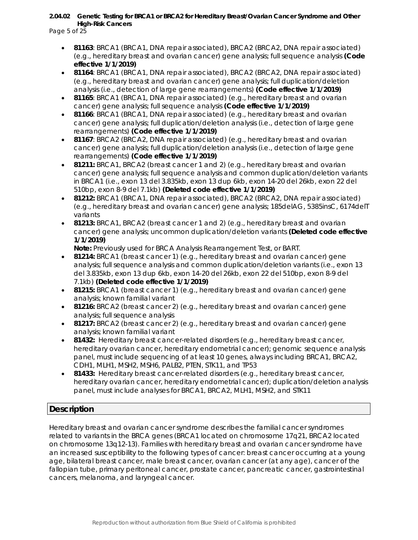Page 5 of 25

- **81163**: BRCA1 (BRCA1, DNA repair associated), BRCA2 (BRCA2, DNA repair associated) (e.g., hereditary breast and ovarian cancer) gene analysis; full sequence analysis *(Code effective 1/1/2019)*
- **81164**: BRCA1 (BRCA1, DNA repair associated), BRCA2 (BRCA2, DNA repair associated) (e.g., hereditary breast and ovarian cancer) gene analysis; full duplication/deletion analysis (i.e., detection of large gene rearrangements) *(Code effective 1/1/2019)*
- **81165**: BRCA1 (BRCA1, DNA repair associated) (e.g., hereditary breast and ovarian cancer) gene analysis; full sequence analysis *(Code effective 1/1/2019)*
- **81166**: BRCA1 (BRCA1, DNA repair associated) (e.g., hereditary breast and ovarian cancer) gene analysis; full duplication/deletion analysis (i.e., detection of large gene rearrangements) *(Code effective 1/1/2019)*
- **81167**: BRCA2 (BRCA2, DNA repair associated) (e.g., hereditary breast and ovarian cancer) gene analysis; full duplication/deletion analysis (i.e., detection of large gene rearrangements) *(Code effective 1/1/2019)*
- **81211:** BRCA1, BRCA2 (breast cancer 1 and 2) (e.g., hereditary breast and ovarian cancer) gene analysis; full sequence analysis and common duplication/deletion variants in BRCA1 (i.e., exon 13 del 3.835kb, exon 13 dup 6kb, exon 14-20 del 26kb, exon 22 del 510bp, exon 8-9 del 7.1kb) *(Deleted code effective 1/1/2019)*
- **81212:** BRCA1 (BRCA1, DNA repair associated), BRCA2 (BRCA2, DNA repair associated) (e.g., hereditary breast and ovarian cancer) gene analysis; 185delAG, 5385insC, 6174delT variants
- **81213:** BRCA1, BRCA2 (breast cancer 1 and 2) (e.g., hereditary breast and ovarian cancer) gene analysis; uncommon duplication/deletion variants *(Deleted code effective 1/1/2019)*

**Note:** Previously used for BRCA Analysis Rearrangement Test, or BART.

- **81214:** BRCA1 (breast cancer 1) (e.g., hereditary breast and ovarian cancer) gene analysis; full sequence analysis and common duplication/deletion variants (i.e., exon 13 del 3.835kb, exon 13 dup 6kb, exon 14-20 del 26kb, exon 22 del 510bp, exon 8-9 del 7.1kb) *(Deleted code effective 1/1/2019)*
- **81215:** BRCA1 (breast cancer 1) (e.g., hereditary breast and ovarian cancer) gene analysis; known familial variant
- **81216:** BRCA2 (breast cancer 2) (e.g., hereditary breast and ovarian cancer) gene analysis; full sequence analysis
- **81217:** BRCA2 (breast cancer 2) (e.g., hereditary breast and ovarian cancer) gene analysis; known familial variant
- **81432:** Hereditary breast cancer-related disorders (e.g., hereditary breast cancer, hereditary ovarian cancer, hereditary endometrial cancer); genomic sequence analysis panel, must include sequencing of at least 10 genes, always including BRCA1, BRCA2, CDH1, MLH1, MSH2, MSH6, PALB2, PTEN, STK11, and TP53
- **81433:** Hereditary breast cancer-related disorders (e.g., hereditary breast cancer, hereditary ovarian cancer, hereditary endometrial cancer); duplication/deletion analysis panel, must include analyses for BRCA1, BRCA2, MLH1, MSH2, and STK11

# **Description**

Hereditary breast and ovarian cancer syndrome describes the familial cancer syndromes related to variants in the *BRCA* genes (*BRCA1* located on chromosome 17q21, *BRCA2* located on chromosome 13q12-13). Families with hereditary breast and ovarian cancer syndrome have an increased susceptibility to the following types of cancer: breast cancer occurring at a young age, bilateral breast cancer, male breast cancer, ovarian cancer (at any age), cancer of the fallopian tube, primary peritoneal cancer, prostate cancer, pancreatic cancer, gastrointestinal cancers, melanoma, and laryngeal cancer.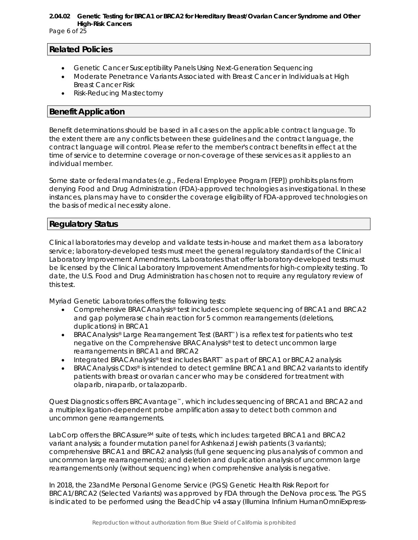Page 6 of 25

#### **Related Policies**

- Genetic Cancer Susceptibility Panels Using Next-Generation Sequencing
- Moderate Penetrance Variants Associated with Breast Cancer in Individuals at High Breast Cancer Risk
- Risk-Reducing Mastectomy

# **Benefit Application**

Benefit determinations should be based in all cases on the applicable contract language. To the extent there are any conflicts between these guidelines and the contract language, the contract language will control. Please refer to the member's contract benefits in effect at the time of service to determine coverage or non-coverage of these services as it applies to an individual member.

Some state or federal mandates (e.g., Federal Employee Program [FEP]) prohibits plans from denying Food and Drug Administration (FDA)-approved technologies as investigational. In these instances, plans may have to consider the coverage eligibility of FDA-approved technologies on the basis of medical necessity alone.

# **Regulatory Status**

Clinical laboratories may develop and validate tests in-house and market them as a laboratory service; laboratory-developed tests must meet the general regulatory standards of the Clinical Laboratory Improvement Amendments. Laboratories that offer laboratory-developed tests must be licensed by the Clinical Laboratory Improvement Amendments for high-complexity testing. To date, the U.S. Food and Drug Administration has chosen not to require any regulatory review of this test.

Myriad Genetic Laboratories offers the following tests:

- Comprehensive BRACAnalysis® test includes complete sequencing of *BRCA1* and *BRCA2* and gap polymerase chain reaction for 5 common rearrangements (deletions, duplications) in *BRCA1*
- BRACAnalysis® Large Rearrangement Test (BART™) is a reflex test for patients who test negative on the Comprehensive BRACAnalysis® test to detect uncommon large rearrangements in *BRCA1* and *BRCA2*
- Integrated BRACAnalysis® test includes BART™ as part of *BRCA1* or *BRCA2* analysis
- BRACAnalysis CDxs® is intended to detect germline *BRCA1* and *BRCA2* variants to identify patients with breast or ovarian cancer who may be considered for treatment with olaparib, niraparib, or talazoparib.

Quest Diagnostics offers BRCAvantage™, which includes sequencing of *BRCA1* and *BRCA2* and a multiplex ligation-dependent probe amplification assay to detect both common and uncommon gene rearrangements.

LabCorp offers the BRCAssure<sup>SM</sup> suite of tests, which includes: targeted *BRCA1* and *BRCA2* variant analysis; a founder mutation panel for Ashkenazi Jewish patients (3 variants); comprehensive *BRCA1* and *BRCA2* analysis (full gene sequencing plus analysis of common and uncommon large rearrangements); and deletion and duplication analysis of uncommon large rearrangements only (without sequencing) when comprehensive analysis is negative.

In 2018, the 23andMe Personal Genome Service (PGS) Genetic Health Risk Report for BRCA1/BRCA2 (Selected Variants) was approved by FDA through the DeNova process. The PGS is indicated to be performed using the BeadChip v4 assay (Illumina Infinium HumanOmniExpress-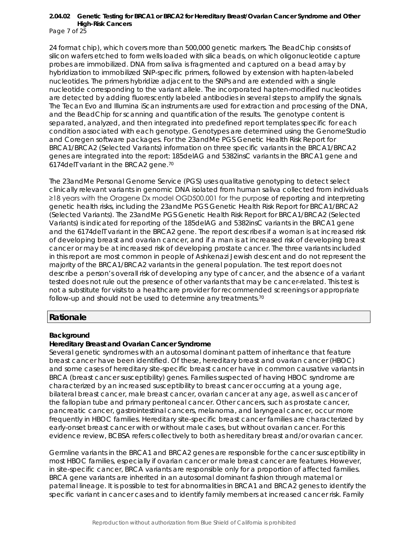Page 7 of 25

24 format chip), which covers more than 500,000 genetic markers. The BeadChip consists of silicon wafers etched to form wells loaded with silica beads, on which oligonucleotide capture probes are immobilized. DNA from saliva is fragmented and captured on a bead array by hybridization to immobilized SNP-specific primers, followed by extension with hapten-labeled nucleotides. The primers hybridize adjacent to the SNPs and are extended with a single nucleotide corresponding to the variant allele. The incorporated hapten-modified nucleotides are detected by adding fluorescently labeled antibodies in several steps to amplify the signals. The Tecan Evo and Illumina iScan instruments are used for extraction and processing of the DNA, and the BeadChip for scanning and quantification of the results. The genotype content is separated, analyzed, and then integrated into predefined report templates specific for each condition associated with each genotype. Genotypes are determined using the GenomeStudio and Coregen software packages. For the 23andMe PGS Genetic Health Risk Report for BRCA1/BRCA2 (Selected Variants) information on three specific variants in the BRCA1/BRCA2 genes are integrated into the report: 185delAG and 5382insC variants in the BRCA1 gene and 6174delT variant in the BRCA2 gene.70

The 23andMe Personal Genome Service (PGS) uses qualitative genotyping to detect select clinically relevant variants in genomic DNA isolated from human saliva collected from individuals ≥18 years with the Oragene Dx model OGD500.001 for the purpose of reporting and interpreting genetic health risks, including the 23andMe PGS Genetic Health Risk Report for BRCA1/BRCA2 (Selected Variants). The 23andMe PGS Genetic Health Risk Report for BRCA1/BRCA2 (Selected Variants) is indicated for reporting of the 185delAG and 5382insC variants in the BRCA1 gene and the 6174delT variant in the BRCA2 gene. The report describes if a woman is at increased risk of developing breast and ovarian cancer, and if a man is at increased risk of developing breast cancer or may be at increased risk of developing prostate cancer. The three variants included in this report are most common in people of Ashkenazi Jewish descent and do not represent the majority of the BRCA1/BRCA2 variants in the general population. The test report does not describe a person's overall risk of developing any type of cancer, and the absence of a variant tested does not rule out the presence of other variants that may be cancer-related. This test is not a substitute for visits to a healthcare provider for recommended screenings or appropriate follow-up and should not be used to determine any treatments.70

# **Rationale**

#### **Background**

#### **Hereditary Breast and Ovarian Cancer Syndrome**

Several genetic syndromes with an autosomal dominant pattern of inheritance that feature breast cancer have been identified. Of these, hereditary breast and ovarian cancer (HBOC) and some cases of hereditary site-specific breast cancer have in common causative variants in *BRCA* (breast cancer susceptibility) genes. Families suspected of having HBOC syndrome are characterized by an increased susceptibility to breast cancer occurring at a young age, bilateral breast cancer, male breast cancer, ovarian cancer at any age, as well as cancer of the fallopian tube and primary peritoneal cancer. Other cancers, such as prostate cancer, pancreatic cancer, gastrointestinal cancers, melanoma, and laryngeal cancer, occur more frequently in HBOC families. Hereditary site-specific breast cancer families are characterized by early-onset breast cancer with or without male cases, but without ovarian cancer. For this evidence review, BCBSA refers collectively to both as *hereditary breast and/or ovarian cancer*.

Germline variants in the *BRCA1* and *BRCA2* genes are responsible for the cancer susceptibility in most HBOC families, especially if ovarian cancer or male breast cancer are features. However, in site-specific cancer, *BRCA* variants are responsible only for a proportion of affected families. *BRCA* gene variants are inherited in an autosomal dominant fashion through maternal or paternal lineage. It is possible to test for abnormalities in *BRCA1* and *BRCA2* genes to identify the specific variant in cancer cases and to identify family members at increased cancer risk. Family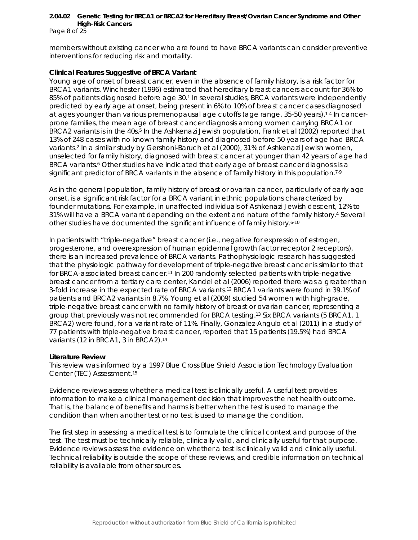Page 8 of 25

members without existing cancer who are found to have *BRCA* variants can consider preventive interventions for reducing risk and mortality.

#### *Clinical Features Suggestive of BRCA Variant*

Young age of onset of breast cancer, even in the absence of family history, is a risk factor for *BRCA1* variants. Winchester (1996) estimated that hereditary breast cancers account for 36% to 85% of patients diagnosed before age 30.1 In several studies, *BRCA* variants were independently predicted by early age at onset, being present in 6% to 10% of breast cancer cases diagnosed at ages younger than various premenopausal age cutoffs (age range, 35-50 years).1-4 In cancerprone families, the mean age of breast cancer diagnosis among women carrying *BRCA1* or *BRCA2* variants is in the 40s.<sup>5</sup> In the Ashkenazi Jewish population, Frank et al (2002) reported that 13% of 248 cases with no known family history and diagnosed before 50 years of age had *BRCA* variants.2 In a similar study by Gershoni-Baruch et al (2000), 31% of Ashkenazi Jewish women, unselected for family history, diagnosed with breast cancer at younger than 42 years of age had BRCA variants.<sup>6</sup> Other studies have indicated that early age of breast cancer diagnosis is a significant predictor of *BRCA* variants in the absence of family history in this population.<sup>7-9</sup>

As in the general population, family history of breast or ovarian cancer, particularly of early age onset, is a significant risk factor for a *BRCA* variant in ethnic populations characterized by founder mutations. For example, in unaffected individuals of Ashkenazi Jewish descent, 12% to 31% will have a *BRCA* variant depending on the extent and nature of the family history.4 Several other studies have documented the significant influence of family history.6-10

In patients with "triple-negative" breast cancer (i.e., negative for expression of estrogen, progesterone, and overexpression of human epidermal growth factor receptor 2 receptors), there is an increased prevalence of *BRCA* variants. Pathophysiologic research has suggested that the physiologic pathway for development of triple-negative breast cancer is similar to that for *BRCA*-associated breast cancer.11 In 200 randomly selected patients with triple-negative breast cancer from a tertiary care center, Kandel et al (2006) reported there was a greater than 3-fold increase in the expected rate of *BRCA* variants.12 *BRCA1* variants were found in 39.1% of patients and *BRCA2* variants in 8.7%. Young et al (2009) studied 54 women with high-grade, triple-negative breast cancer with no family history of breast or ovarian cancer, representing a group that previously was not recommended for *BRCA* testing.13 Six *BRCA* variants (5 *BRCA1*, 1 *BRCA2*) were found, for a variant rate of 11%. Finally, Gonzalez-Angulo et al (2011) in a study of 77 patients with triple-negative breast cancer, reported that 15 patients (19.5%) had *BRCA* variants (12 in *BRCA1*, 3 in *BRCA2*).14

#### **Literature Review**

This review was informed by a 1997 Blue Cross Blue Shield Association Technology Evaluation Center (TEC) Assessment.15

Evidence reviews assess whether a medical test is clinically useful. A useful test provides information to make a clinical management decision that improves the net health outcome. That is, the balance of benefits and harms is better when the test is used to manage the condition than when another test or no test is used to manage the condition.

The first step in assessing a medical test is to formulate the clinical context and purpose of the test. The test must be technically reliable, clinically valid, and clinically useful for that purpose. Evidence reviews assess the evidence on whether a test is clinically valid and clinically useful. Technical reliability is outside the scope of these reviews, and credible information on technical reliability is available from other sources.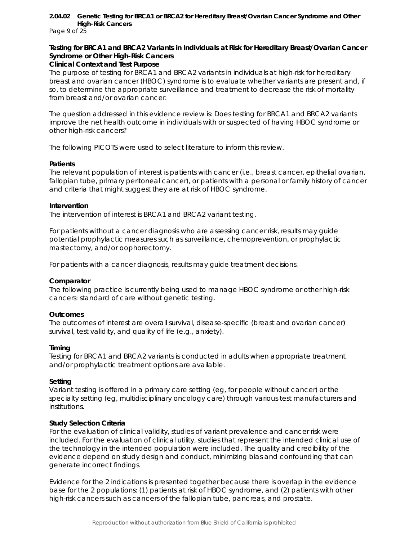Page 9 of 25

## **Testing for** *BRCA1* **and** *BRCA2* **Variants in Individuals at Risk for Hereditary Breast/Ovarian Cancer Syndrome or Other High-Risk Cancers**

#### **Clinical Context and Test Purpose**

The purpose of testing for *BRCA1* and *BRCA2* variants in individuals at high-risk for hereditary breast and ovarian cancer (HBOC) syndrome is to evaluate whether variants are present and, if so, to determine the appropriate surveillance and treatment to decrease the risk of mortality from breast and/or ovarian cancer.

The question addressed in this evidence review is: Does testing for *BRCA1* and *BRCA2* variants improve the net health outcome in individuals with or suspected of having HBOC syndrome or other high-risk cancers?

The following PICOTS were used to select literature to inform this review.

#### *Patients*

The relevant population of interest is patients with cancer (i.e., breast cancer, epithelial ovarian, fallopian tube, primary peritoneal cancer), or patients with a personal or family history of cancer and criteria that might suggest they are at risk of HBOC syndrome.

#### *Intervention*

The intervention of interest is *BRCA1* and *BRCA2* variant testing.

For patients without a cancer diagnosis who are assessing cancer risk, results may guide potential prophylactic measures such as surveillance, chemoprevention, or prophylactic mastectomy, and/or oophorectomy.

For patients with a cancer diagnosis, results may guide treatment decisions.

#### *Comparator*

The following practice is currently being used to manage HBOC syndrome or other high-risk cancers: standard of care without genetic testing.

#### *Outcomes*

The outcomes of interest are overall survival, disease-specific (breast and ovarian cancer) survival, test validity, and quality of life (e.g., anxiety).

#### *Timing*

Testing for *BRCA1* and *BRCA2* variants is conducted in adults when appropriate treatment and/or prophylactic treatment options are available.

#### *Setting*

Variant testing is offered in a primary care setting (eg, for people without cancer) or the specialty setting (eg, multidisciplinary oncology care) through various test manufacturers and institutions.

#### **Study Selection Criteria**

For the evaluation of clinical validity, studies of variant prevalence and cancer risk were included. For the evaluation of clinical utility, studies that represent the intended clinical use of the technology in the intended population were included. The quality and credibility of the evidence depend on study design and conduct, minimizing bias and confounding that can generate incorrect findings.

Evidence for the 2 indications is presented together because there is overlap in the evidence base for the 2 populations: (1) patients at risk of HBOC syndrome, and (2) patients with other high-risk cancers such as cancers of the fallopian tube, pancreas, and prostate.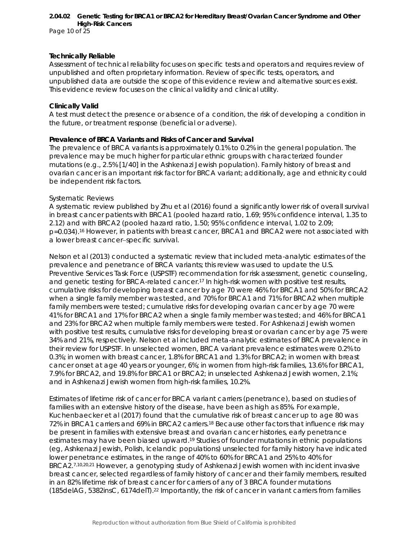Page 10 of 25

#### **Technically Reliable**

Assessment of technical reliability focuses on specific tests and operators and requires review of unpublished and often proprietary information. Review of specific tests, operators, and unpublished data are outside the scope of this evidence review and alternative sources exist. This evidence review focuses on the clinical validity and clinical utility.

#### **Clinically Valid**

A test must detect the presence or absence of a condition, the risk of developing a condition in the future, or treatment response (beneficial or adverse).

#### *Prevalence of BRCA Variants and Risks of Cancer and Survival*

The prevalence of *BRCA* variants is approximately 0.1% to 0.2% in the general population. The prevalence may be much higher for particular ethnic groups with characterized founder mutations (e.g., 2.5% [1/40] in the Ashkenazi Jewish population). Family history of breast and ovarian cancer is an important risk factor for *BRCA* variant; additionally, age and ethnicity could be independent risk factors.

#### *Systematic Reviews*

A systematic review published by Zhu et al (2016) found a significantly lower risk of overall survival in breast cancer patients with *BRCA1* (pooled hazard ratio, 1.69; 95% confidence interval, 1.35 to 2.12) and with *BRCA2* (pooled hazard ratio, 1.50; 95% confidence interval, 1.02 to 2.09; p=0.034).16 However, in patients with breast cancer, *BRCA1* and *BRCA2* were not associated with a lower breast cancer−specific survival.

Nelson et al (2013) conducted a systematic review that included meta-analytic estimates of the prevalence and penetrance of *BRCA* variants; this review was used to update the U.S. Preventive Services Task Force (USPSTF) recommendation for risk assessment, genetic counseling, and genetic testing for *BRCA*-related cancer.17 In high-risk women with positive test results, cumulative risks for developing breast cancer by age 70 were 46% for *BRCA1* and 50% for *BRCA2*  when a single family member was tested, and 70% for *BRCA1* and 71% for *BRCA2* when multiple family members were tested; cumulative risks for developing ovarian cancer by age 70 were 41% for *BRCA1* and 17% for *BRCA2* when a single family member was tested; and 46% for *BRCA1*  and 23% for *BRCA2* when multiple family members were tested. For Ashkenazi Jewish women with positive test results, cumulative risks for developing breast or ovarian cancer by age 75 were 34% and 21%, respectively. Nelson et al included meta-analytic estimates of *BRCA* prevalence in their review for USPSTF. In unselected women, *BRCA* variant prevalence estimates were 0.2% to 0.3%; in women with breast cancer, 1.8% for *BRCA1* and 1.3% for *BRCA2*; in women with breast cancer onset at age 40 years or younger, 6%; in women from high-risk families, 13.6% for *BRCA1*, 7.9% for *BRCA2*, and 19.8% for *BRCA1* or *BRCA2*; in unselected Ashkenazi Jewish women, 2.1%; and in Ashkenazi Jewish women from high-risk families, 10.2%.

Estimates of lifetime risk of cancer for *BRCA* variant carriers (penetrance), based on studies of families with an extensive history of the disease, have been as high as 85%. For example, Kuchenbaecker et al (2017) found that the cumulative risk of breast cancer up to age 80 was 72% in *BRCA1* carriers and 69% in *BRCA2* carriers.18 Because other factors that influence risk may be present in families with extensive breast and ovarian cancer histories, early penetrance estimates may have been biased upward.19 Studies of founder mutations in ethnic populations (eg, Ashkenazi Jewish, Polish, Icelandic populations) unselected for family history have indicated lower penetrance estimates, in the range of 40% to 60% for *BRCA1* and 25% to 40% for *BRCA2.*7,10,20,21 However, a genotyping study of Ashkenazi Jewish women with incident invasive breast cancer, selected regardless of family history of cancer and their family members, resulted in an 82% lifetime risk of breast cancer for carriers of any of 3 *BRCA* founder mutations (185delAG, 5382insC, 6174delT).22 Importantly, the risk of cancer in variant carriers from families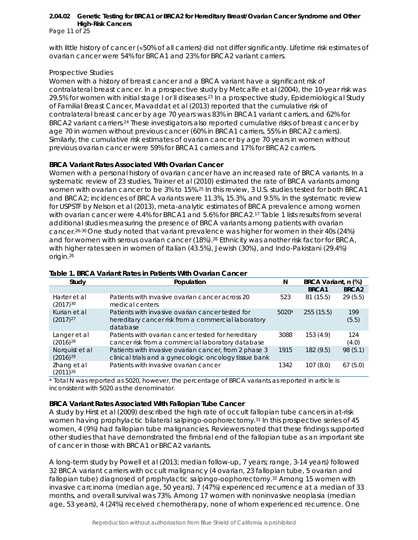Page 11 of 25

with little history of cancer (≈50% of all carriers) did not differ significantly. Lifetime risk estimates of ovarian cancer were 54% for *BRCA1* and 23% for *BRCA2* variant carriers.

#### *Prospective Studies*

Women with a history of breast cancer and a *BRCA* variant have a significant risk of contralateral breast cancer. In a prospective study by Metcalfe et al (2004), the 10-year risk was 29.5% for women with initial stage I or II diseases.<sup>23</sup> In a prospective study, Epidemiological Study of Familial Breast Cancer, Mavaddat et al (2013) reported that the cumulative risk of contralateral breast cancer by age 70 years was 83% in *BRCA1* variant carriers, and 62% for *BRCA2* variant carriers.24 These investigators also reported cumulative risks of breast cancer by age 70 in women without previous cancer (60% in *BRCA1* carriers, 55% in *BRCA2* carriers). Similarly, the cumulative risk estimates of ovarian cancer by age 70 years in women without previous ovarian cancer were 59% for *BRCA1* carriers and 17% for *BRCA2* carriers.

# *BRCA Variant Rates Associated With Ovarian Cancer*

Women with a personal history of ovarian cancer have an increased rate of *BRCA* variants. In a systematic review of 23 studies, Trainer et al (2010) estimated the rate of *BRCA* variants among women with ovarian cancer to be 3% to 15%.25 In this review, 3 U.S. studies tested for both *BRCA1* and *BRCA2*; incidences of *BRCA* variants were 11.3%, 15.3%, and 9.5%. In the systematic review for USPSTF by Nelson et al (2013), meta-analytic estimates of *BRCA* prevalence among women with ovarian cancer were 4.4% for *BRCA1* and 5.6% for *BRCA2.*<sup>17</sup> Table 1 lists results from several additional studies measuring the presence of *BRCA* variants among patients with ovarian cancer.26-30 One study noted that variant prevalence was higher for women in their 40s (24%) and for women with serous ovarian cancer (18%).26 Ethnicity was another risk factor for *BRCA*, with higher rates seen in women of Italian (43.5%), Jewish (30%), and Indo-Pakistani (29.4%) origin.26

| Study                           | Population                                                                                                          | N     | BRCA Variant, n (%) |                   |
|---------------------------------|---------------------------------------------------------------------------------------------------------------------|-------|---------------------|-------------------|
|                                 |                                                                                                                     |       | BRCA1               | BRCA <sub>2</sub> |
| Harter et al<br>$(2017)^{30}$   | Patients with invasive ovarian cancer across 20<br>medical centers                                                  | 523   | 81 (15.5)           | 29(5.5)           |
| Kurian et al<br>$(2017)^{27}$   | Patients with invasive ovarian cancer tested for<br>hereditary cancer risk from a commercial laboratory<br>database | 5020a | 255(15.5)           | 199<br>(5.5)      |
| Langer et al<br>$(2016)^{28}$   | Patients with ovarian cancer tested for hereditary<br>cancer risk from a commercial laboratory database             | 3088  | 153(4.9)            | 124<br>(4.0)      |
| Norquist et al<br>$(2016)^{29}$ | Patients with invasive ovarian cancer, from 2 phase 3<br>clinical trials and a gynecologic oncology tissue bank     | 1915  | 182 (9.5)           | 98 (5.1)          |
| Zhang et al<br>$(2011)^{26}$    | Patients with invasive ovarian cancer                                                                               | 1342  | 107(8.0)            | 67(5.0)           |

#### **Table 1.** *BRCA* **Variant Rates in Patients With Ovarian Cancer**

<sup>a</sup> Total N was reported as 5020, however, the percentage of *BRCA* variants as reported in article is inconsistent with 5020 as the denominator.

#### *BRCA Variant Rates Associated With Fallopian Tube Cancer*

A study by Hirst et al (2009) described the high rate of occult fallopian tube cancers in at-risk women having prophylactic bilateral salpingo-oophorectomy.<sup>31</sup> In this prospective series of 45 women, 4 (9%) had fallopian tube malignancies. Reviewers noted that these findings supported other studies that have demonstrated the fimbrial end of the fallopian tube as an important site of cancer in those with *BRCA1* or *BRCA2* variants.

A long-term study by Powell et al (2013; median follow-up, 7 years; range, 3-14 years) followed 32 *BRCA* variant carriers with occult malignancy (4 ovarian, 23 fallopian tube, 5 ovarian and fallopian tube) diagnosed of prophylactic salpingo-oophorectomy.32 Among 15 women with invasive carcinoma (median age, 50 years), 7 (47%) experienced recurrence at a median of 33 months, and overall survival was 73%. Among 17 women with noninvasive neoplasia (median age, 53 years), 4 (24%) received chemotherapy, none of whom experienced recurrence. One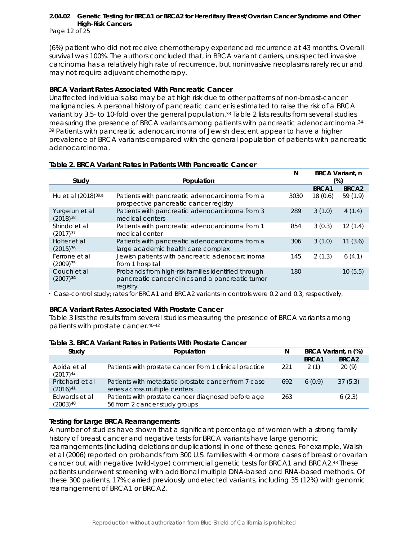Page 12 of 25

(6%) patient who did not receive chemotherapy experienced recurrence at 43 months. Overall survival was 100%. The authors concluded that, in *BRCA* variant carriers, unsuspected invasive carcinoma has a relatively high rate of recurrence, but noninvasive neoplasms rarely recur and may not require adjuvant chemotherapy.

#### *BRCA Variant Rates Associated With Pancreatic Cancer*

Unaffected individuals also may be at high risk due to other patterns of non-breast-cancer malignancies. A personal history of pancreatic cancer is estimated to raise the risk of a *BRCA* variant by 3.5- to 10-fold over the general population.33 Table 2 lists results from several studies measuring the presence of *BRCA* variants among patients with pancreatic adenocarcinoma.34- <sup>39</sup> Patients with pancreatic adenocarcinoma of Jewish descent appear to have a higher prevalence of *BRCA* variants compared with the general population of patients with pancreatic adenocarcinoma.

|                                 |                                                                                                                     | N    |         | <b>BRCA Variant, n</b> |
|---------------------------------|---------------------------------------------------------------------------------------------------------------------|------|---------|------------------------|
| Study                           | Population                                                                                                          |      |         | (%)                    |
|                                 |                                                                                                                     |      | BRCA1   | BRCA <sub>2</sub>      |
| Hu et al (2018) <sup>39,a</sup> | Patients with pancreatic adenocarcinoma from a<br>prospective pancreatic cancer registry                            | 3030 | 18(0.6) | 59(1.9)                |
| Yurgelun et al<br>$(2018)^{38}$ | Patients with pancreatic adenocarcinoma from 3<br>medical centers                                                   | 289  | 3(1.0)  | 4(1.4)                 |
| Shindo et al<br>$(2017)^{37}$   | Patients with pancreatic adenocarcinoma from 1<br>medical center                                                    | 854  | 3(0.3)  | 12(1.4)                |
| Holter et al<br>$(2015)^{36}$   | Patients with pancreatic adenocarcinoma from a<br>large academic health care complex                                | 306  | 3(1.0)  | 11(3.6)                |
| Ferrone et al<br>$(2009)^{35}$  | Jewish patients with pancreatic adenocarcinoma<br>from 1 hospital                                                   | 145  | 2(1.3)  | 6(4.1)                 |
| Couch et al<br>$(2007)^{34}$    | Probands from high-risk families identified through<br>pancreatic cancer clinics and a pancreatic tumor<br>registry | 180  |         | 10(5.5)                |

#### **Table 2.** *BRCA* **Variant Rates in Patients With Pancreatic Cancer**

<sup>a</sup> Case-control study; rates for *BRCA1* and *BRCA2* variants in controls were 0.2 and 0.3, respectively.

#### *BRCA Variant Rates Associated With Prostate Cancer*

Table 3 lists the results from several studies measuring the presence of *BRCA* variants among patients with prostate cancer.40-42

|  |  |  |  |  |  | Table 3. BRCA Variant Rates in Patients With Prostate Cancer |  |
|--|--|--|--|--|--|--------------------------------------------------------------|--|
|--|--|--|--|--|--|--------------------------------------------------------------|--|

| Study                            | Population                                                                             | N   |        | BRCA Variant, n (%) |
|----------------------------------|----------------------------------------------------------------------------------------|-----|--------|---------------------|
|                                  |                                                                                        |     | BRCA1  | BRCA <sub>2</sub>   |
| Abida et al<br>$(2017)^{42}$     | Patients with prostate cancer from 1 clinical practice                                 | 221 | 2(1)   | 20(9)               |
| Pritchard et al<br>$(2016)^{41}$ | Patients with metastatic prostate cancer from 7 case<br>series across multiple centers | 692 | 6(0.9) | 37(5.3)             |
| Edwards et al<br>$(2003)^{40}$   | Patients with prostate cancer diagnosed before age<br>56 from 2 cancer study groups    | 263 |        | 6(2.3)              |

# *Testing for Large BRCA Rearrangements*

A number of studies have shown that a significant percentage of women with a strong family history of breast cancer and negative tests for *BRCA* variants have large genomic rearrangements (including deletions or duplications) in one of these genes. For example, Walsh et al (2006) reported on probands from 300 U.S. families with 4 or more cases of breast or ovarian cancer but with negative (wild-type) commercial genetic tests for *BRCA1* and *BRCA2*.43 These patients underwent screening with additional multiple DNA-based and RNA-based methods. Of these 300 patients, 17% carried previously undetected variants, including 35 (12%) with genomic rearrangement of *BRCA1* or *BRCA2*.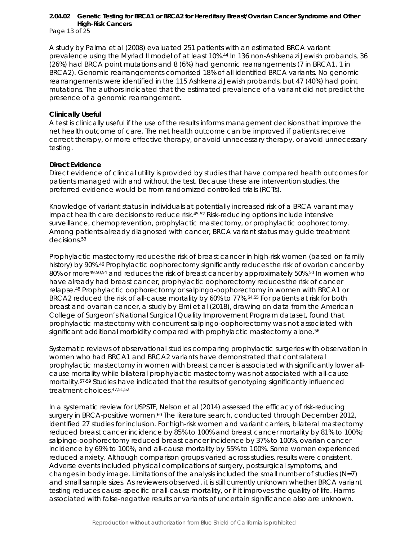Page 13 of 25

A study by Palma et al (2008) evaluated 251 patients with an estimated *BRCA* variant prevalence using the Myriad II model of at least 10%.44 In 136 non-Ashkenazi Jewish probands, 36 (26%) had *BRCA* point mutations and 8 (6%) had genomic rearrangements (7 in *BRCA1*, 1 in *BRCA2*). Genomic rearrangements comprised 18% of all identified *BRCA* variants. No genomic rearrangements were identified in the 115 Ashkenazi Jewish probands, but 47 (40%) had point mutations. The authors indicated that the estimated prevalence of a variant did not predict the presence of a genomic rearrangement.

#### **Clinically Useful**

A test is clinically useful if the use of the results informs management decisions that improve the net health outcome of care. The net health outcome can be improved if patients receive correct therapy, or more effective therapy, or avoid unnecessary therapy, or avoid unnecessary testing.

#### *Direct Evidence*

Direct evidence of clinical utility is provided by studies that have compared health outcomes for patients managed with and without the test. Because these are intervention studies, the preferred evidence would be from randomized controlled trials (RCTs).

Knowledge of variant status in individuals at potentially increased risk of a *BRCA* variant may impact health care decisions to reduce risk.45-52 Risk-reducing options include intensive surveillance, chemoprevention, prophylactic mastectomy, or prophylactic oophorectomy. Among patients already diagnosed with cancer, *BRCA* variant status may guide treatment decisions.53

Prophylactic mastectomy reduces the risk of breast cancer in high-risk women (based on family history) by 90%.<sup>46</sup> Prophylactic oophorectomy significantly reduces the risk of ovarian cancer by 80% or more<sup>49,50,54</sup> and reduces the risk of breast cancer by approximately 50%.<sup>50</sup> In women who have already had breast cancer, prophylactic oophorectomy reduces the risk of cancer relapse.48 Prophylactic oophorectomy or salpingo-oophorectomy in women with *BRCA1* or *BRCA2* reduced the risk of all-cause mortality by 60% to 77%.54,55 For patients at risk for both breast and ovarian cancer, a study by Elmi et al (2018), drawing on data from the American College of Surgeon's National Surgical Quality Improvement Program dataset, found that prophylactic mastectomy with concurrent salpingo-oophorectomy was not associated with significant additional morbidity compared with prophylactic mastectomy alone.<sup>56</sup>

Systematic reviews of observational studies comparing prophylactic surgeries with observation in women who had *BRCA1* and *BRCA2* variants have demonstrated that contralateral prophylactic mastectomy in women with breast cancer is associated with significantly lower allcause mortality while bilateral prophylactic mastectomy was not associated with all-cause mortality.57-59 Studies have indicated that the results of genotyping significantly influenced treatment choices.47,51,52

In a systematic review for USPSTF, Nelson et al (2014) assessed the efficacy of risk-reducing surgery in *BRCA*-positive women.<sup>60</sup> The literature search, conducted through December 2012, identified 27 studies for inclusion. For high-risk women and variant carriers, bilateral mastectomy reduced breast cancer incidence by 85% to 100% and breast cancer mortality by 81% to 100%; salpingo-oophorectomy reduced breast cancer incidence by 37% to 100%, ovarian cancer incidence by 69% to 100%, and all-cause mortality by 55% to 100%. Some women experienced reduced anxiety. Although comparison groups varied across studies, results were consistent. Adverse events included physical complications of surgery, postsurgical symptoms, and changes in body image. Limitations of the analysis included the small number of studies  $(N=7)$ and small sample sizes. As reviewers observed, it is still currently unknown whether *BRCA* variant testing reduces cause-specific or all-cause mortality, or if it improves the quality of life. Harms associated with false-negative results or variants of uncertain significance also are unknown.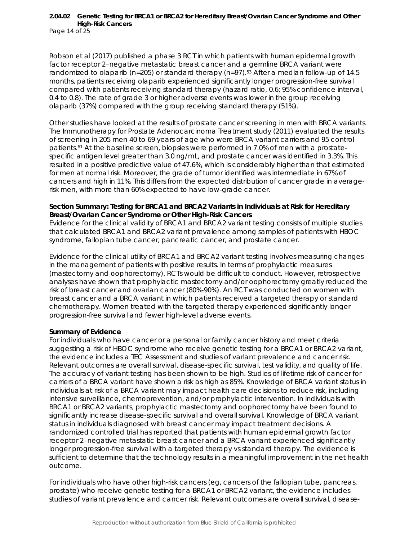Page 14 of 25

Robson et al (2017) published a phase 3 RCT in which patients with human epidermal growth factor receptor 2−negative metastatic breast cancer and a germline *BRCA* variant were randomized to olaparib ( $n=205$ ) or standard therapy ( $n=97$ ).<sup>53</sup> After a median follow-up of 14.5 months, patients receiving olaparib experienced significantly longer progression-free survival compared with patients receiving standard therapy (hazard ratio, 0.6; 95% confidence interval, 0.4 to 0.8). The rate of grade 3 or higher adverse events was lower in the group receiving olaparib (37%) compared with the group receiving standard therapy (51%).

Other studies have looked at the results of prostate cancer screening in men with *BRCA* variants. The Immunotherapy for Prostate Adenocarcinoma Treatment study (2011) evaluated the results of screening in 205 men 40 to 69 years of age who were *BRCA* variant carriers and 95 control patients.<sup>61</sup> At the baseline screen, biopsies were performed in 7.0% of men with a prostatespecific antigen level greater than 3.0 ng/mL, and prostate cancer was identified in 3.3%. This resulted in a positive predictive value of 47.6%, which is considerably higher than that estimated for men at normal risk. Moreover, the grade of tumor identified was intermediate in 67% of cancers and high in 11%. This differs from the expected distribution of cancer grade in averagerisk men, with more than 60% expected to have low-grade cancer.

#### **Section Summary: Testing for** *BRCA1* **and** *BRCA2* **Variants in Individuals at Risk for Hereditary Breast/Ovarian Cancer Syndrome or Other High-Risk Cancers**

Evidence for the clinical validity of *BRCA1* and *BRCA2* variant testing consists of multiple studies that calculated *BRCA1* and *BRCA2* variant prevalence among samples of patients with HBOC syndrome, fallopian tube cancer, pancreatic cancer, and prostate cancer.

Evidence for the clinical utility of *BRCA1* and *BRCA2* variant testing involves measuring changes in the management of patients with positive results. In terms of prophylactic measures (mastectomy and oophorectomy), RCTs would be difficult to conduct. However, retrospective analyses have shown that prophylactic mastectomy and/or oophorectomy greatly reduced the risk of breast cancer and ovarian cancer (80%-90%). An RCT was conducted on women with breast cancer and a *BRCA* variant in which patients received a targeted therapy or standard chemotherapy. Women treated with the targeted therapy experienced significantly longer progression-free survival and fewer high-level adverse events.

#### **Summary of Evidence**

For individuals who have cancer or a personal or family cancer history and meet criteria suggesting a risk of HBOC syndrome who receive genetic testing for a *BRCA1* or *BRCA2* variant, the evidence includes a TEC Assessment and studies of variant prevalence and cancer risk. Relevant outcomes are overall survival, disease-specific survival, test validity, and quality of life. The accuracy of variant testing has been shown to be high. Studies of lifetime risk of cancer for carriers of a *BRCA* variant have shown a risk as high as 85%. Knowledge of *BRCA* variant status in individuals at risk of a *BRCA* variant may impact health care decisions to reduce risk, including intensive surveillance, chemoprevention, and/or prophylactic intervention. In individuals with *BRCA1* or *BRCA2* variants, prophylactic mastectomy and oophorectomy have been found to significantly increase disease-specific survival and overall survival. Knowledge of *BRCA* variant status in individuals diagnosed with breast cancer may impact treatment decisions. A randomized controlled trial has reported that patients with human epidermal growth factor receptor 2−negative metastatic breast cancer and a *BRCA* variant experienced significantly longer progression-free survival with a targeted therapy vs standard therapy. The evidence is sufficient to determine that the technology results in a meaningful improvement in the net health outcome.

For individuals who have other high-risk cancers (eg, cancers of the fallopian tube, pancreas, prostate) who receive genetic testing for a *BRCA1* or *BRCA2* variant, the evidence includes studies of variant prevalence and cancer risk. Relevant outcomes are overall survival, disease-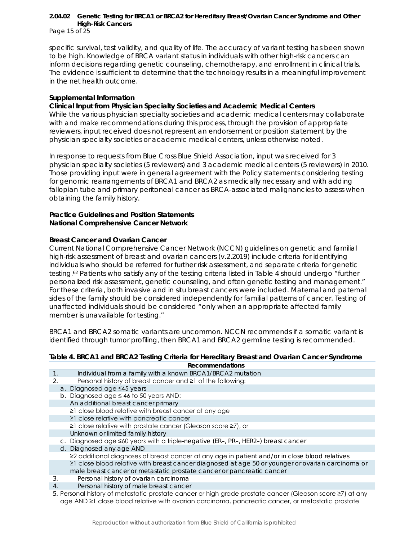Page 15 of 25

specific survival, test validity, and quality of life. The accuracy of variant testing has been shown to be high. Knowledge of *BRCA* variant status in individuals with other high-risk cancers can inform decisions regarding genetic counseling, chemotherapy, and enrollment in clinical trials. The evidence is sufficient to determine that the technology results in a meaningful improvement in the net health outcome.

#### **Supplemental Information**

#### **Clinical Input from Physician Specialty Societies and Academic Medical Centers**

While the various physician specialty societies and academic medical centers may collaborate with and make recommendations during this process, through the provision of appropriate reviewers, input received does not represent an endorsement or position statement by the physician specialty societies or academic medical centers, unless otherwise noted.

In response to requests from Blue Cross Blue Shield Association, input was received for 3 physician specialty societies (5 reviewers) and 3 academic medical centers (5 reviewers) in 2010. Those providing input were in general agreement with the Policy statements considering testing for genomic rearrangements of *BRCA1* and *BRCA2* as medically necessary and with adding fallopian tube and primary peritoneal cancer as *BRCA*-associated malignancies to assess when obtaining the family history.

#### **Practice Guidelines and Position Statements National Comprehensive Cancer Network**

#### *Breast Cancer and Ovarian Cancer*

Current National Comprehensive Cancer Network (NCCN) guidelines on genetic and familial high-risk assessment of breast and ovarian cancers (v.2.2019) include criteria for identifying individuals who should be referred for further risk assessment, and separate criteria for genetic testing.62 Patients who satisfy any of the testing criteria listed in Table 4 should undergo "further personalized risk assessment, genetic counseling, and often genetic testing and management." For these criteria, both invasive and in situ breast cancers were included. Maternal and paternal sides of the family should be considered independently for familial patterns of cancer. Testing of unaffected individuals should be considered "only when an appropriate affected family member is unavailable for testing."

*BRCA1* and *BRCA2* somatic variants are uncommon. NCCN recommends if a somatic variant is identified through tumor profiling, then *BRCA1* and *BRCA2* germline testing is recommended.

#### **Table 4.** *BRCA1* **and** *BRCA2* **Testing Criteria for Hereditary Breast and Ovarian Cancer Syndrome Recommendations**

- 1. Individual from a family with a known *BRCA1*/*BRCA2* mutation 2. Personal history of breast cancer and ≥1 of the following: a. Diagnosed age ≤45 years b. Diagnosed age ≤ 46 to 50 years AND: An additional breast cancer primary ≥1 close blood relative with breast cancer at any age ≥1 close relative with pancreatic cancer ≥1 close relative with prostate cancer (Gleason score ≥7), or Unknown or limited family history c. Diagnosed age ≤60 years with a triple-negative (ER–, PR–, HER2–) breast cancer d. Diagnosed any age AND ≥2 additional diagnoses of breast cancer at any age in patient and/or in close blood relatives ≥1 close blood relative with breast cancer diagnosed at age 50 or younger or ovarian carcinoma or male breast cancer or metastatic prostate cancer or pancreatic cancer 3. Personal history of ovarian carcinoma
- 4. Personal history of male breast cancer
- 5. Personal history of metastatic prostate cancer or high grade prostate cancer (Gleason score ≥7) at any age AND ≥1 close blood relative with ovarian carcinoma, pancreatic cancer, or metastatic prostate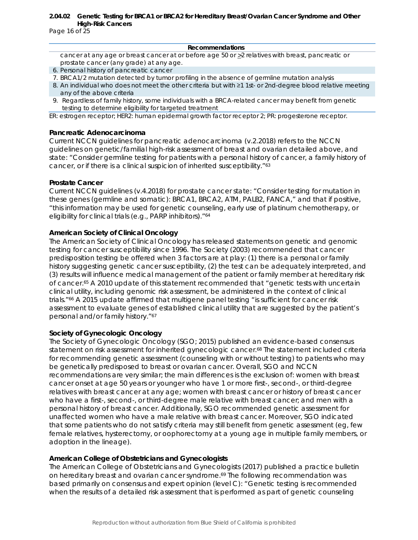Page 16 of 25

#### **Recommendations**

cancer at any age or breast cancer at or before age 50 or  $\geq$  relatives with breast, pancreatic or prostate cancer (any grade) at any age.

- 6. Personal history of pancreatic cancer
- 7. BRCA1/2 mutation detected by tumor profiling in the absence of germline mutation analysis
- 8. An individual who does not meet the other criteria but with ≥1 1st- or 2nd-degree blood relative meeting any of the above criteria
- 9. Regardless of family history, some individuals with a *BRCA*-related cancer may benefit from genetic testing to determine eligibility for targeted treatment

ER: estrogen receptor; *HER2*: human epidermal growth factor receptor 2; PR: progesterone receptor.

#### *Pancreatic Adenocarcinoma*

Current NCCN guidelines for pancreatic adenocarcinoma (v.2.2018) refers to the NCCN guidelines on genetic/familial high-risk assessment of breast and ovarian detailed above, and state: "Consider germline testing for patients with a personal history of cancer, a family history of cancer, or if there is a clinical suspicion of inherited susceptibility."63

#### *Prostate Cancer*

Current NCCN guidelines (v.4.2018) for prostate cancer state: "Consider testing for mutation in these genes (germline and somatic): BRCA1, BRCA2, ATM, PALB2, FANCA," and that if positive, "this information may be used for genetic counseling, early use of platinum chemotherapy, or eligibility for clinical trials (e.g., PARP inhibitors)."64

#### **American Society of Clinical Oncology**

The American Society of Clinical Oncology has released statements on genetic and genomic testing for cancer susceptibility since 1996. The Society (2003) recommended that cancer predisposition testing be offered when 3 factors are at play: (1) there is a personal or family history suggesting genetic cancer susceptibility, (2) the test can be adequately interpreted, and (3) results will influence medical management of the patient or family member at hereditary risk of cancer.65 A 2010 update of this statement recommended that "genetic tests with uncertain clinical utility, including genomic risk assessment, be administered in the context of clinical trials."<sup>66</sup> A 2015 update affirmed that multigene panel testing "is sufficient for cancer risk assessment to evaluate genes of established clinical utility that are suggested by the patient's personal and/or family history."67

#### **Society of Gynecologic Oncology**

The Society of Gynecologic Oncology (SGO; 2015) published an evidence-based consensus statement on risk assessment for inherited gynecologic cancer.<sup>68</sup> The statement included criteria for recommending genetic assessment (counseling with or without testing) to patients who may be genetically predisposed to breast or ovarian cancer. Overall, SGO and NCCN recommendations are very similar; the main differences is the exclusion of: women with breast cancer onset at age 50 years or younger who have 1 or more first-, second-, or third-degree relatives with breast cancer at any age; women with breast cancer or history of breast cancer who have a first-, second-, or third-degree male relative with breast cancer; and men with a personal history of breast cancer. Additionally, SGO recommended genetic assessment for unaffected women who have a male relative with breast cancer. Moreover, SGO indicated that some patients who do not satisfy criteria may still benefit from genetic assessment (eg, few female relatives, hysterectomy, or oophorectomy at a young age in multiple family members, or adoption in the lineage).

#### **American College of Obstetricians and Gynecologists**

The American College of Obstetricians and Gynecologists (2017) published a practice bulletin on hereditary breast and ovarian cancer syndrome.69 The following recommendation was based primarily on consensus and expert opinion (level C): "Genetic testing is recommended when the results of a detailed risk assessment that is performed as part of genetic counseling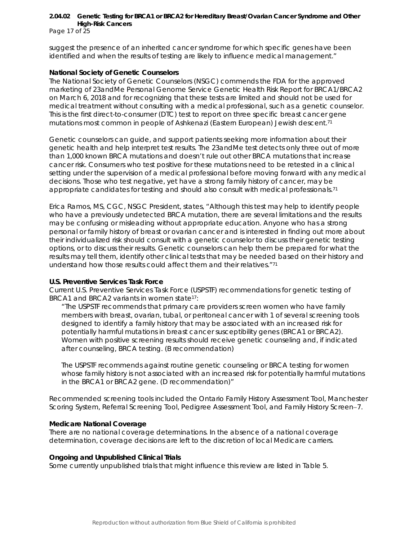Page 17 of 25

suggest the presence of an inherited cancer syndrome for which specific genes have been identified and when the results of testing are likely to influence medical management."

#### **National Society of Genetic Counselors**

The National Society of Genetic Counselors (NSGC) commends the FDA for the approved marketing of 23andMe Personal Genome Service Genetic Health Risk Report for BRCA1/BRCA2 on March 6, 2018 and for recognizing that these tests are limited and should not be used for medical treatment without consulting with a medical professional, such as a genetic counselor. This is the first direct-to-consumer (DTC) test to report on three specific breast cancer gene mutations most common in people of Ashkenazi (Eastern European) Jewish descent.71

Genetic counselors can guide, and support patients seeking more information about their genetic health and help interpret test results. The 23andMe test detects only three out of more than 1,000 known BRCA mutations and doesn't rule out other BRCA mutations that increase cancer risk. Consumers who test positive for these mutations need to be retested in a clinical setting under the supervision of a medical professional before moving forward with any medical decisions. Those who test negative, yet have a strong family history of cancer, may be appropriate candidates for testing and should also consult with medical professionals.71

Erica Ramos, MS, CGC, NSGC President, states, "Although this test may help to identify people who have a previously undetected BRCA mutation, there are several limitations and the results may be confusing or misleading without appropriate education. Anyone who has a strong personal or family history of breast or ovarian cancer and is interested in finding out more about their individualized risk should consult with a genetic counselor to discuss their genetic testing options, or to discuss their results. Genetic counselors can help them be prepared for what the results may tell them, identify other clinical tests that may be needed based on their history and understand how those results could affect them and their relatives."71

#### **U.S. Preventive Services Task Force**

Current U.S. Preventive Services Task Force (USPSTF) recommendations for genetic testing of *BRCA1* and *BRCA2* variants in women state17:

"The USPSTF recommends that primary care providers screen women who have family members with breast, ovarian, tubal, or peritoneal cancer with 1 of several screening tools designed to identify a family history that may be associated with an increased risk for potentially harmful mutations in breast cancer susceptibility genes (*BRCA1* or *BRCA2)*. Women with positive screening results should receive genetic counseling and, if indicated after counseling, *BRCA* testing. (B recommendation)

The USPSTF recommends against routine genetic counseling or *BRCA* testing for women whose family history is not associated with an increased risk for potentially harmful mutations in the *BRCA1* or *BRCA2* gene. (D recommendation)"

Recommended screening tools included the Ontario Family History Assessment Tool, Manchester Scoring System, Referral Screening Tool, Pedigree Assessment Tool, and Family History Screen−7.

#### **Medicare National Coverage**

There are no national coverage determinations. In the absence of a national coverage determination, coverage decisions are left to the discretion of local Medicare carriers.

#### **Ongoing and Unpublished Clinical Trials**

Some currently unpublished trials that might influence this review are listed in Table 5.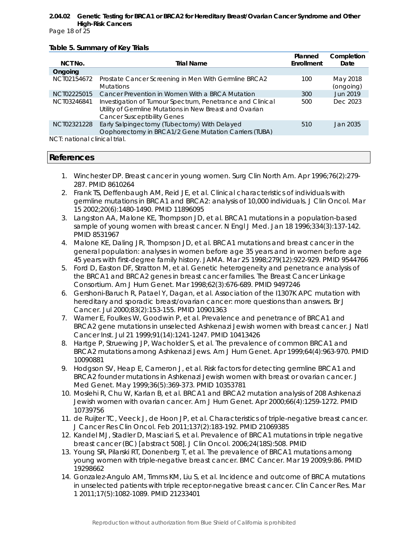Page 18 of 25

#### **Table 5. Summary of Key Trials**

|                               |                                                                                                                                                            | Planned    | Completion            |
|-------------------------------|------------------------------------------------------------------------------------------------------------------------------------------------------------|------------|-----------------------|
| NCT No.                       | <b>Trial Name</b>                                                                                                                                          | Enrollment | Date                  |
| Ongoing                       |                                                                                                                                                            |            |                       |
| NCT02154672                   | Prostate Cancer Screening in Men With Germline BRCA2<br><b>Mutations</b>                                                                                   | 100        | May 2018<br>(ongoing) |
| NCT02225015                   | Cancer Prevention in Women With a BRCA Mutation                                                                                                            | 300        | Jun 2019              |
| NCT03246841                   | Investigation of Tumour Spectrum, Penetrance and Clinical<br>Utility of Germline Mutations in New Breast and Ovarian<br><b>Cancer Susceptibility Genes</b> | 500        | Dec 2023              |
| NCT02321228                   | Early Salpingectomy (Tubectomy) With Delayed<br>Oophorectomy in BRCA1/2 Gene Mutation Carriers (TUBA)                                                      | 510        | Jan 2035              |
| NCT: national clinical trial. |                                                                                                                                                            |            |                       |

# **References**

- 1. Winchester DP. Breast cancer in young women. Surg Clin North Am. Apr 1996;76(2):279- 287. PMID 8610264
- 2. Frank TS, Deffenbaugh AM, Reid JE, et al. Clinical characteristics of individuals with germline mutations in BRCA1 and BRCA2: analysis of 10,000 individuals. J Clin Oncol. Mar 15 2002;20(6):1480-1490. PMID 11896095
- 3. Langston AA, Malone KE, Thompson JD, et al. BRCA1 mutations in a population-based sample of young women with breast cancer. N Engl J Med. Jan 18 1996;334(3):137-142. PMID 8531967
- 4. Malone KE, Daling JR, Thompson JD, et al. BRCA1 mutations and breast cancer in the general population: analyses in women before age 35 years and in women before age 45 years with first-degree family history. JAMA. Mar 25 1998;279(12):922-929. PMID 9544766
- 5. Ford D, Easton DF, Stratton M, et al. Genetic heterogeneity and penetrance analysis of the BRCA1 and BRCA2 genes in breast cancer families. The Breast Cancer Linkage Consortium. Am J Hum Genet. Mar 1998;62(3):676-689. PMID 9497246
- 6. Gershoni-Baruch R, Patael Y, Dagan, et al. Association of the I1307K APC mutation with hereditary and sporadic breast/ovarian cancer: more questions than answers. Br J Cancer. Jul 2000;83(2):153-155. PMID 10901363
- 7. Warner E, Foulkes W, Goodwin P, et al. Prevalence and penetrance of BRCA1 and BRCA2 gene mutations in unselected Ashkenazi Jewish women with breast cancer. J Natl Cancer Inst. Jul 21 1999;91(14):1241-1247. PMID 10413426
- 8. Hartge P, Struewing JP, Wacholder S, et al. The prevalence of common BRCA1 and BRCA2 mutations among Ashkenazi Jews. Am J Hum Genet. Apr 1999;64(4):963-970. PMID 10090881
- 9. Hodgson SV, Heap E, Cameron J, et al. Risk factors for detecting germline BRCA1 and BRCA2 founder mutations in Ashkenazi Jewish women with breast or ovarian cancer. J Med Genet. May 1999;36(5):369-373. PMID 10353781
- 10. Moslehi R, Chu W, Karlan B, et al. BRCA1 and BRCA2 mutation analysis of 208 Ashkenazi Jewish women with ovarian cancer. Am J Hum Genet. Apr 2000;66(4):1259-1272. PMID 10739756
- 11. de Ruijter TC, Veeck J, de Hoon JP, et al. Characteristics of triple-negative breast cancer. J Cancer Res Clin Oncol. Feb 2011;137(2):183-192. PMID 21069385
- 12. Kandel MJ, Stadler D, Masciari S, et al. Prevalence of BRCA1 mutations in triple negative breast cancer (BC) [abstract 508]. J Clin Oncol. 2006;24(18S):508. PMID
- 13. Young SR, Pilarski RT, Donenberg T, et al. The prevalence of BRCA1 mutations among young women with triple-negative breast cancer. BMC Cancer. Mar 19 2009;9:86. PMID 19298662
- 14. Gonzalez-Angulo AM, Timms KM, Liu S, et al. Incidence and outcome of BRCA mutations in unselected patients with triple receptor-negative breast cancer. Clin Cancer Res. Mar 1 2011;17(5):1082-1089. PMID 21233401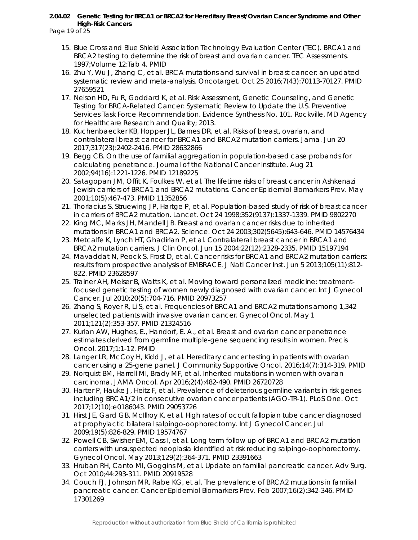Page 19 of 25

- 15. Blue Cross and Blue Shield Association Technology Evaluation Center (TEC). BRCA1 and BRCA2 testing to determine the risk of breast and ovarian cancer. TEC Assessments. 1997;Volume 12:Tab 4. PMID
- 16. Zhu Y, Wu J, Zhang C, et al. BRCA mutations and survival in breast cancer: an updated systematic review and meta-analysis. Oncotarget. Oct 25 2016;7(43):70113-70127. PMID 27659521
- 17. Nelson HD, Fu R, Goddard K, et al. Risk Assessment, Genetic Counseling, and Genetic Testing for BRCA-Related Cancer: Systematic Review to Update the U.S. Preventive Services Task Force Recommendation. Evidence Synthesis No. 101. Rockville, MD Agency for Healthcare Research and Quality; 2013.
- 18. Kuchenbaecker KB, Hopper JL, Barnes DR, et al. Risks of breast, ovarian, and contralateral breast cancer for BRCA1 and BRCA2 mutation carriers. Jama. Jun 20 2017;317(23):2402-2416. PMID 28632866
- 19. Begg CB. On the use of familial aggregation in population-based case probands for calculating penetrance. Journal of the National Cancer Institute. Aug 21 2002;94(16):1221-1226. PMID 12189225
- 20. Satagopan JM, Offit K, Foulkes W, et al. The lifetime risks of breast cancer in Ashkenazi Jewish carriers of BRCA1 and BRCA2 mutations. Cancer Epidemiol Biomarkers Prev. May 2001;10(5):467-473. PMID 11352856
- 21. Thorlacius S, Struewing JP, Hartge P, et al. Population-based study of risk of breast cancer in carriers of BRCA2 mutation. Lancet. Oct 24 1998;352(9137):1337-1339. PMID 9802270
- 22. King MC, Marks JH, Mandell JB. Breast and ovarian cancer risks due to inherited mutations in BRCA1 and BRCA2. Science. Oct 24 2003;302(5645):643-646. PMID 14576434
- 23. Metcalfe K, Lynch HT, Ghadirian P, et al. Contralateral breast cancer in BRCA1 and BRCA2 mutation carriers. J Clin Oncol. Jun 15 2004;22(12):2328-2335. PMID 15197194
- 24. Mavaddat N, Peock S, Frost D, et al. Cancer risks for BRCA1 and BRCA2 mutation carriers: results from prospective analysis of EMBRACE. J Natl Cancer Inst. Jun 5 2013;105(11):812- 822. PMID 23628597
- 25. Trainer AH, Meiser B, Watts K, et al. Moving toward personalized medicine: treatmentfocused genetic testing of women newly diagnosed with ovarian cancer. Int J Gynecol Cancer. Jul 2010;20(5):704-716. PMID 20973257
- 26. Zhang S, Royer R, Li S, et al. Frequencies of BRCA1 and BRCA2 mutations among 1,342 unselected patients with invasive ovarian cancer. Gynecol Oncol. May 1 2011;121(2):353-357. PMID 21324516
- 27. Kurian AW, Hughes, E., Handorf, E. A., et al. Breast and ovarian cancer penetrance estimates derived from germline multiple-gene sequencing results in women. Precis Oncol. 2017;1:1-12. PMID
- 28. Langer LR, McCoy H, Kidd J, et al. Hereditary cancer testing in patients with ovarian cancer using a 25-gene panel. J Community Supportive Oncol. 2016;14(7):314-319. PMID
- 29. Norquist BM, Harrell MI, Brady MF, et al. Inherited mutations in women with ovarian carcinoma. JAMA Oncol. Apr 2016;2(4):482-490. PMID 26720728
- 30. Harter P, Hauke J, Heitz F, et al. Prevalence of deleterious germline variants in risk genes including BRCA1/2 in consecutive ovarian cancer patients (AGO-TR-1). PLoS One. Oct 2017;12(10):e0186043. PMID 29053726
- 31. Hirst JE, Gard GB, McIllroy K, et al. High rates of occult fallopian tube cancer diagnosed at prophylactic bilateral salpingo-oophorectomy. Int J Gynecol Cancer. Jul 2009;19(5):826-829. PMID 19574767
- 32. Powell CB, Swisher EM, Cass I, et al. Long term follow up of BRCA1 and BRCA2 mutation carriers with unsuspected neoplasia identified at risk reducing salpingo-oophorectomy. Gynecol Oncol. May 2013;129(2):364-371. PMID 23391663
- 33. Hruban RH, Canto MI, Goggins M, et al. Update on familial pancreatic cancer. Adv Surg. Oct 2010;44:293-311. PMID 20919528
- 34. Couch FJ, Johnson MR, Rabe KG, et al. The prevalence of BRCA2 mutations in familial pancreatic cancer. Cancer Epidemiol Biomarkers Prev. Feb 2007;16(2):342-346. PMID 17301269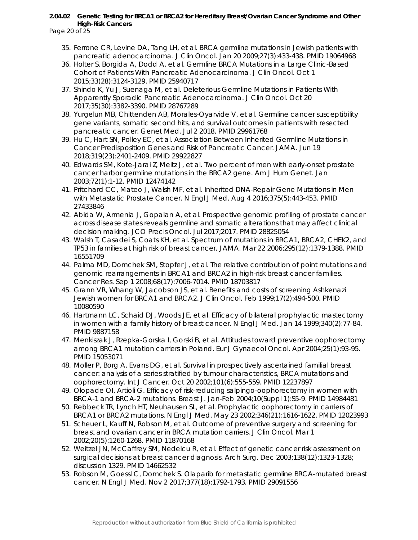Page 20 of 25

- 35. Ferrone CR, Levine DA, Tang LH, et al. BRCA germline mutations in Jewish patients with pancreatic adenocarcinoma. J Clin Oncol. Jan 20 2009;27(3):433-438. PMID 19064968
- 36. Holter S, Borgida A, Dodd A, et al. Germline BRCA Mutations in a Large Clinic-Based Cohort of Patients With Pancreatic Adenocarcinoma. J Clin Oncol. Oct 1 2015;33(28):3124-3129. PMID 25940717
- 37. Shindo K, Yu J, Suenaga M, et al. Deleterious Germline Mutations in Patients With Apparently Sporadic Pancreatic Adenocarcinoma. J Clin Oncol. Oct 20 2017;35(30):3382-3390. PMID 28767289
- 38. Yurgelun MB, Chittenden AB, Morales-Oyarvide V, et al. Germline cancer susceptibility gene variants, somatic second hits, and survival outcomes in patients with resected pancreatic cancer. Genet Med. Jul 2 2018. PMID 29961768
- 39. Hu C, Hart SN, Polley EC, et al. Association Between Inherited Germline Mutations in Cancer Predisposition Genes and Risk of Pancreatic Cancer. JAMA. Jun 19 2018;319(23):2401-2409. PMID 29922827
- 40. Edwards SM, Kote-Jarai Z, Meitz J, et al. Two percent of men with early-onset prostate cancer harbor germline mutations in the BRCA2 gene. Am J Hum Genet. Jan 2003;72(1):1-12. PMID 12474142
- 41. Pritchard CC, Mateo J, Walsh MF, et al. Inherited DNA-Repair Gene Mutations in Men with Metastatic Prostate Cancer. N Engl J Med. Aug 4 2016;375(5):443-453. PMID 27433846
- 42. Abida W, Armenia J, Gopalan A, et al. Prospective genomic profiling of prostate cancer across disease states reveals germline and somatic alterations that may affect clinical decision making. JCO Precis Oncol. Jul 2017;2017. PMID 28825054
- 43. Walsh T, Casadei S, Coats KH, et al. Spectrum of mutations in BRCA1, BRCA2, CHEK2, and TP53 in families at high risk of breast cancer. JAMA. Mar 22 2006;295(12):1379-1388. PMID 16551709
- 44. Palma MD, Domchek SM, Stopfer J, et al. The relative contribution of point mutations and genomic rearrangements in BRCA1 and BRCA2 in high-risk breast cancer families. Cancer Res. Sep 1 2008;68(17):7006-7014. PMID 18703817
- 45. Grann VR, Whang W, Jacobson JS, et al. Benefits and costs of screening Ashkenazi Jewish women for BRCA1 and BRCA2. J Clin Oncol. Feb 1999;17(2):494-500. PMID 10080590
- 46. Hartmann LC, Schaid DJ, Woods JE, et al. Efficacy of bilateral prophylactic mastectomy in women with a family history of breast cancer. N Engl J Med. Jan 14 1999;340(2):77-84. PMID 9887158
- 47. Menkiszak J, Rzepka-Gorska I, Gorski B, et al. Attitudes toward preventive oophorectomy among BRCA1 mutation carriers in Poland. Eur J Gynaecol Oncol. Apr 2004;25(1):93-95. PMID 15053071
- 48. Moller P, Borg A, Evans DG, et al. Survival in prospectively ascertained familial breast cancer: analysis of a series stratified by tumour characteristics, BRCA mutations and oophorectomy. Int J Cancer. Oct 20 2002;101(6):555-559. PMID 12237897
- 49. Olopade OI, Artioli G. Efficacy of risk-reducing salpingo-oophorectomy in women with BRCA-1 and BRCA-2 mutations. Breast J. Jan-Feb 2004;10(Suppl 1):S5-9. PMID 14984481
- 50. Rebbeck TR, Lynch HT, Neuhausen SL, et al. Prophylactic oophorectomy in carriers of BRCA1 or BRCA2 mutations. N Engl J Med. May 23 2002;346(21):1616-1622. PMID 12023993
- 51. Scheuer L, Kauff N, Robson M, et al. Outcome of preventive surgery and screening for breast and ovarian cancer in BRCA mutation carriers. J Clin Oncol. Mar 1 2002;20(5):1260-1268. PMID 11870168
- 52. Weitzel JN, McCaffrey SM, Nedelcu R, et al. Effect of genetic cancer risk assessment on surgical decisions at breast cancer diagnosis. Arch Surg. Dec 2003;138(12):1323-1328; discussion 1329. PMID 14662532
- 53. Robson M, Goessl C, Domchek S. Olaparib for metastatic germline BRCA-mutated breast cancer. N Engl J Med. Nov 2 2017;377(18):1792-1793. PMID 29091556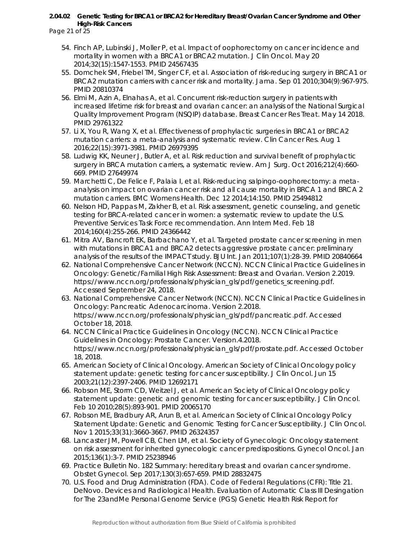Page 21 of 25

- 54. Finch AP, Lubinski J, Moller P, et al. Impact of oophorectomy on cancer incidence and mortality in women with a BRCA1 or BRCA2 mutation. J Clin Oncol. May 20 2014;32(15):1547-1553. PMID 24567435
- 55. Domchek SM, Friebel TM, Singer CF, et al. Association of risk-reducing surgery in BRCA1 or BRCA2 mutation carriers with cancer risk and mortality. Jama. Sep 01 2010;304(9):967-975. PMID 20810374
- 56. Elmi M, Azin A, Elnahas A, et al. Concurrent risk-reduction surgery in patients with increased lifetime risk for breast and ovarian cancer: an analysis of the National Surgical Quality Improvement Program (NSQIP) database. Breast Cancer Res Treat. May 14 2018. PMID 29761322
- 57. Li X, You R, Wang X, et al. Effectiveness of prophylactic surgeries in BRCA1 or BRCA2 mutation carriers: a meta-analysis and systematic review. Clin Cancer Res. Aug 1 2016;22(15):3971-3981. PMID 26979395
- 58. Ludwig KK, Neuner J, Butler A, et al. Risk reduction and survival benefit of prophylactic surgery in BRCA mutation carriers, a systematic review. Am J Surg. Oct 2016;212(4):660- 669. PMID 27649974
- 59. Marchetti C, De Felice F, Palaia I, et al. Risk-reducing salpingo-oophorectomy: a metaanalysis on impact on ovarian cancer risk and all cause mortality in BRCA 1 and BRCA 2 mutation carriers. BMC Womens Health. Dec 12 2014;14:150. PMID 25494812
- 60. Nelson HD, Pappas M, Zakher B, et al. Risk assessment, genetic counseling, and genetic testing for BRCA-related cancer in women: a systematic review to update the U.S. Preventive Services Task Force recommendation. Ann Intern Med. Feb 18 2014;160(4):255-266. PMID 24366442
- 61. Mitra AV, Bancroft EK, Barbachano Y, et al. Targeted prostate cancer screening in men with mutations in BRCA1 and BRCA2 detects aggressive prostate cancer: preliminary analysis of the results of the IMPACT study. BJU Int. Jan 2011;107(1):28-39. PMID 20840664
- 62. National Comprehensive Cancer Network (NCCN). NCCN Clinical Practice Guidelines in Oncology: Genetic/Familial High Risk Assessment: Breast and Ovarian. Version 2.2019. https://www.nccn.org/professionals/physician\_gls/pdf/genetics\_screening.pdf. Accessed September 24, 2018.
- 63. National Comprehensive Cancer Network (NCCN). NCCN Clinical Practice Guidelines in Oncology: Pancreatic Adenocarcinoma. Version 2.2018. https://www.nccn.org/professionals/physician\_gls/pdf/pancreatic.pdf. Accessed October 18, 2018.
- 64. NCCN Clinical Practice Guidelines in Oncology (NCCN). NCCN Clinical Practice Guidelines in Oncology: Prostate Cancer. Version.4.2018. https://www.nccn.org/professionals/physician\_gls/pdf/prostate.pdf. Accessed October 18, 2018.
- 65. American Society of Clinical Oncology. American Society of Clinical Oncology policy statement update: genetic testing for cancer susceptibility. J Clin Oncol. Jun 15 2003;21(12):2397-2406. PMID 12692171
- 66. Robson ME, Storm CD, Weitzel J, et al. American Society of Clinical Oncology policy statement update: genetic and genomic testing for cancer susceptibility. J Clin Oncol. Feb 10 2010;28(5):893-901. PMID 20065170
- 67. Robson ME, Bradbury AR, Arun B, et al. American Society of Clinical Oncology Policy Statement Update: Genetic and Genomic Testing for Cancer Susceptibility. J Clin Oncol. Nov 1 2015;33(31):3660-3667. PMID 26324357
- 68. Lancaster JM, Powell CB, Chen LM, et al. Society of Gynecologic Oncology statement on risk assessment for inherited gynecologic cancer predispositions. Gynecol Oncol. Jan 2015;136(1):3-7. PMID 25238946
- 69. Practice Bulletin No. 182 Summary: hereditary breast and ovarian cancer syndrome. Obstet Gynecol. Sep 2017;130(3):657-659. PMID 28832475
- 70. U.S. Food and Drug Administration (FDA). Code of Federal Regulations (CFR): Title 21. DeNovo. Devices and Radiological Health. Evaluation of Automatic Class III Desingation for The 23andMe Personal Genome Service (PGS) Genetic Health Risk Report for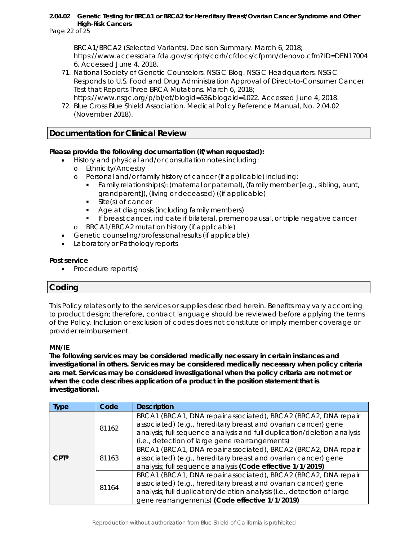Page 22 of 25

BRCA1/BRCA2 (Selected Variants). Decision Summary. March 6, 2018; https://www.accessdata.fda.gov/scripts/cdrh/cfdocs/cfpmn/denovo.cfm?ID=DEN17004 6. Accessed June 4, 2018.

71. National Society of Genetic Counselors. NSGC Blog. NSGC Headquarters. NSGC Responds to U.S. Food and Drug Administration Approval of Direct-to-Consumer Cancer Test that Reports Three BRCA Mutations. March 6, 2018; https://www.nsgc.org/p/bl/et/blogid=53&blogaid=1022. Accessed June 4, 2018.

72. Blue Cross Blue Shield Association. Medical Policy Reference Manual, No. 2.04.02 (November 2018).

# **Documentation for Clinical Review**

# **Please provide the following documentation (if/when requested):**

- History and physical and/or consultation notes including:
	- o Ethnicity/Ancestry
	- o Personal and/or family history of cancer (if applicable) including:
		- Family relationship(s): (maternal or paternal), (family member [e.g., sibling, aunt, grandparent]), (living or deceased) ((if applicable)
		- **Site(s) of cancer**
		- Age at diagnosis (including family members)
	- **If breast cancer, indicate if bilateral, premenopausal, or triple negative cancer** o BRCA1/BRCA2 mutation history (if applicable)
- Genetic counseling/professional results (if applicable)
- Laboratory or Pathology reports

#### **Post service**

• Procedure report(s)

# **Coding**

*This Policy relates only to the services or supplies described herein. Benefits may vary according to product design; therefore, contract language should be reviewed before applying the terms of the Policy. Inclusion or exclusion of codes does not constitute or imply member coverage or provider reimbursement.* 

#### *MN/IE*

**The following services may be considered medically necessary in certain instances and investigational in others. Services may be considered medically necessary when policy criteria are met. Services may be considered investigational when the policy criteria are not met or when the code describes application of a product in the position statement that is investigational.**

| <b>Ivpe</b>     | Code  | <b>Description</b>                                                                                                                                                                                                                                           |
|-----------------|-------|--------------------------------------------------------------------------------------------------------------------------------------------------------------------------------------------------------------------------------------------------------------|
|                 | 81162 | BRCA1 (BRCA1, DNA repair associated), BRCA2 (BRCA2, DNA repair<br>associated) (e.g., hereditary breast and ovarian cancer) gene<br>analysis; full sequence analysis and full duplication/deletion analysis<br>(i.e., detection of large gene rearrangements) |
| $CPT^{\otimes}$ | 81163 | BRCA1 (BRCA1, DNA repair associated), BRCA2 (BRCA2, DNA repair<br>associated) (e.g., hereditary breast and ovarian cancer) gene<br>analysis; full sequence analysis (Code effective 1/1/2019)                                                                |
|                 | 81164 | BRCA1 (BRCA1, DNA repair associated), BRCA2 (BRCA2, DNA repair<br>associated) (e.g., hereditary breast and ovarian cancer) gene<br>analysis; full duplication/deletion analysis (i.e., detection of large<br>gene rearrangements) (Code effective 1/1/2019)  |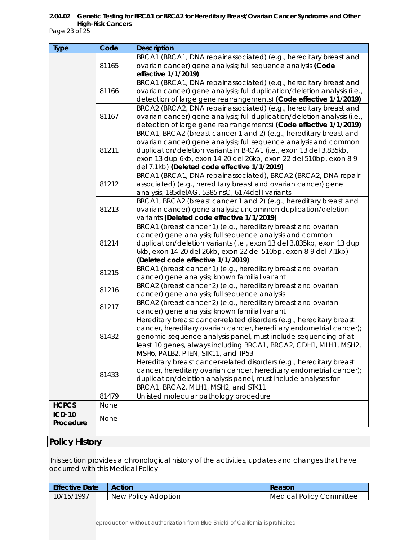Page 23 of 25

| <b>Type</b>   | Code                                                         | <b>Description</b>                                                                                                                            |
|---------------|--------------------------------------------------------------|-----------------------------------------------------------------------------------------------------------------------------------------------|
|               |                                                              | BRCA1 (BRCA1, DNA repair associated) (e.g., hereditary breast and                                                                             |
|               | 81165                                                        | ovarian cancer) gene analysis; full sequence analysis (Code                                                                                   |
|               |                                                              | effective 1/1/2019)                                                                                                                           |
|               | 81166                                                        | BRCA1 (BRCA1, DNA repair associated) (e.g., hereditary breast and<br>ovarian cancer) gene analysis; full duplication/deletion analysis (i.e., |
|               |                                                              | detection of large gene rearrangements) (Code effective 1/1/2019)                                                                             |
|               |                                                              | BRCA2 (BRCA2, DNA repair associated) (e.g., hereditary breast and                                                                             |
|               | 81167                                                        | ovarian cancer) gene analysis; full duplication/deletion analysis (i.e.,                                                                      |
|               |                                                              | detection of large gene rearrangements) (Code effective 1/1/2019)                                                                             |
|               |                                                              | BRCA1, BRCA2 (breast cancer 1 and 2) (e.g., hereditary breast and                                                                             |
|               |                                                              | ovarian cancer) gene analysis; full sequence analysis and common                                                                              |
|               | 81211                                                        | duplication/deletion variants in BRCA1 (i.e., exon 13 del 3.835kb,                                                                            |
|               |                                                              | exon 13 dup 6kb, exon 14-20 del 26kb, exon 22 del 510bp, exon 8-9                                                                             |
|               |                                                              | del 7.1kb) (Deleted code effective 1/1/2019)<br>BRCA1 (BRCA1, DNA repair associated), BRCA2 (BRCA2, DNA repair                                |
|               | 81212                                                        | associated) (e.g., hereditary breast and ovarian cancer) gene                                                                                 |
|               |                                                              | analysis; 185delAG, 5385insC, 6174delT variants                                                                                               |
|               |                                                              | BRCA1, BRCA2 (breast cancer 1 and 2) (e.g., hereditary breast and                                                                             |
|               | 81213                                                        | ovarian cancer) gene analysis; uncommon duplication/deletion                                                                                  |
|               |                                                              | variants (Deleted code effective 1/1/2019)                                                                                                    |
|               |                                                              | BRCA1 (breast cancer 1) (e.g., hereditary breast and ovarian                                                                                  |
|               |                                                              | cancer) gene analysis; full sequence analysis and common                                                                                      |
|               | 81214                                                        | duplication/deletion variants (i.e., exon 13 del 3.835kb, exon 13 dup                                                                         |
|               |                                                              | 6kb, exon 14-20 del 26kb, exon 22 del 510bp, exon 8-9 del 7.1kb)<br>(Deleted code effective 1/1/2019)                                         |
|               | BRCA1 (breast cancer 1) (e.g., hereditary breast and ovarian |                                                                                                                                               |
|               | 81215                                                        | cancer) gene analysis; known familial variant                                                                                                 |
|               |                                                              | BRCA2 (breast cancer 2) (e.g., hereditary breast and ovarian                                                                                  |
|               | 81216                                                        | cancer) gene analysis; full sequence analysis                                                                                                 |
|               | 81217                                                        | BRCA2 (breast cancer 2) (e.g., hereditary breast and ovarian                                                                                  |
|               |                                                              | cancer) gene analysis; known familial variant                                                                                                 |
|               |                                                              | Hereditary breast cancer-related disorders (e.g., hereditary breast                                                                           |
|               |                                                              | cancer, hereditary ovarian cancer, hereditary endometrial cancer);                                                                            |
|               | 81432                                                        | genomic sequence analysis panel, must include sequencing of at<br>least 10 genes, always including BRCA1, BRCA2, CDH1, MLH1, MSH2,            |
|               |                                                              | MSH6, PALB2, PTEN, STK11, and TP53                                                                                                            |
|               |                                                              | Hereditary breast cancer-related disorders (e.g., hereditary breast                                                                           |
|               |                                                              | cancer, hereditary ovarian cancer, hereditary endometrial cancer);                                                                            |
|               | 81433                                                        | duplication/deletion analysis panel, must include analyses for                                                                                |
|               |                                                              | BRCA1, BRCA2, MLH1, MSH2, and STK11                                                                                                           |
|               | 81479                                                        | Unlisted molecular pathology procedure                                                                                                        |
| <b>HCPCS</b>  | None                                                         |                                                                                                                                               |
| <b>ICD-10</b> | None                                                         |                                                                                                                                               |
| Procedure     |                                                              |                                                                                                                                               |

# **Policy History**

This section provides a chronological history of the activities, updates and changes that have occurred with this Medical Policy.

| <b>Effective Date</b> | <b>Action</b>       | Reason                          |
|-----------------------|---------------------|---------------------------------|
| 10/15/1997            | New Policy Adoption | <b>Medical Policy Committee</b> |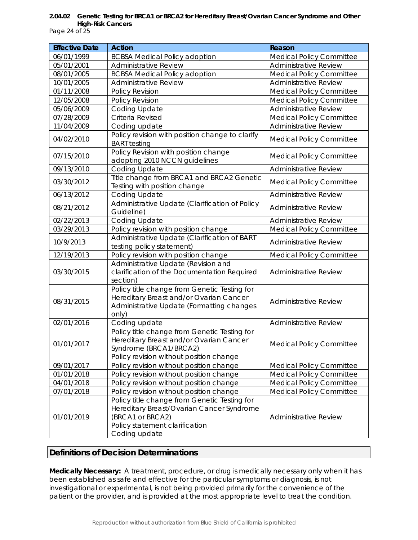Page 24 of 25

| <b>Effective Date</b> | <b>Action</b>                                                                                                                                                    | Reason                          |
|-----------------------|------------------------------------------------------------------------------------------------------------------------------------------------------------------|---------------------------------|
| 06/01/1999            | <b>BCBSA Medical Policy adoption</b>                                                                                                                             | Medical Policy Committee        |
| 05/01/2001            | <b>Administrative Review</b>                                                                                                                                     | <b>Administrative Review</b>    |
| 08/01/2005            | <b>BCBSA Medical Policy adoption</b>                                                                                                                             | Medical Policy Committee        |
| 10/01/2005            | <b>Administrative Review</b>                                                                                                                                     | <b>Administrative Review</b>    |
| 01/11/2008            | Policy Revision                                                                                                                                                  | <b>Medical Policy Committee</b> |
| 12/05/2008            | Policy Revision                                                                                                                                                  | <b>Medical Policy Committee</b> |
| 05/06/2009            | Coding Update                                                                                                                                                    | <b>Administrative Review</b>    |
| 07/28/2009            | Criteria Revised                                                                                                                                                 | <b>Medical Policy Committee</b> |
| 11/04/2009            | Coding update                                                                                                                                                    | <b>Administrative Review</b>    |
| 04/02/2010            | Policy revision with position change to clarify<br><b>BART</b> testing                                                                                           | <b>Medical Policy Committee</b> |
| 07/15/2010            | Policy Revision with position change<br>adopting 2010 NCCN guidelines                                                                                            | <b>Medical Policy Committee</b> |
| 09/13/2010            | Coding Update                                                                                                                                                    | <b>Administrative Review</b>    |
| 03/30/2012            | Title change from BRCA1 and BRCA2 Genetic<br>Testing with position change                                                                                        | <b>Medical Policy Committee</b> |
| 06/13/2012            | Coding Update                                                                                                                                                    | Administrative Review           |
| 08/21/2012            | Administrative Update (Clarification of Policy<br>Guideline)                                                                                                     | <b>Administrative Review</b>    |
| 02/22/2013            | Coding Update                                                                                                                                                    | <b>Administrative Review</b>    |
| 03/29/2013            | Policy revision with position change                                                                                                                             | <b>Medical Policy Committee</b> |
| 10/9/2013             | Administrative Update (Clarification of BART<br>testing policy statement)                                                                                        | <b>Administrative Review</b>    |
| 12/19/2013            | Policy revision with position change                                                                                                                             | <b>Medical Policy Committee</b> |
| 03/30/2015            | Administrative Update (Revision and<br>clarification of the Documentation Required<br>section)                                                                   | <b>Administrative Review</b>    |
| 08/31/2015            | Policy title change from Genetic Testing for<br>Hereditary Breast and/or Ovarian Cancer<br>Administrative Update (Formatting changes<br>only)                    | <b>Administrative Review</b>    |
| 02/01/2016            | Coding update                                                                                                                                                    | Administrative Review           |
| 01/01/2017            | Policy title change from Genetic Testing for<br>Hereditary Breast and/or Ovarian Cancer<br>Syndrome (BRCA1/BRCA2)<br>Policy revision without position change     | <b>Medical Policy Committee</b> |
| 09/01/2017            | Policy revision without position change                                                                                                                          | <b>Medical Policy Committee</b> |
| 01/01/2018            | Policy revision without position change                                                                                                                          | <b>Medical Policy Committee</b> |
| 04/01/2018            | Policy revision without position change                                                                                                                          | <b>Medical Policy Committee</b> |
| 07/01/2018            | Policy revision without position change                                                                                                                          | <b>Medical Policy Committee</b> |
| 01/01/2019            | Policy title change from Genetic Testing for<br>Hereditary Breast/Ovarian Cancer Syndrome<br>(BRCA1 or BRCA2)<br>Policy statement clarification<br>Coding update | <b>Administrative Review</b>    |

# **Definitions of Decision Determinations**

**Medically Necessary:** A treatment, procedure, or drug is medically necessary only when it has been established as safe and effective for the particular symptoms or diagnosis, is not investigational or experimental, is not being provided primarily for the convenience of the patient or the provider, and is provided at the most appropriate level to treat the condition.